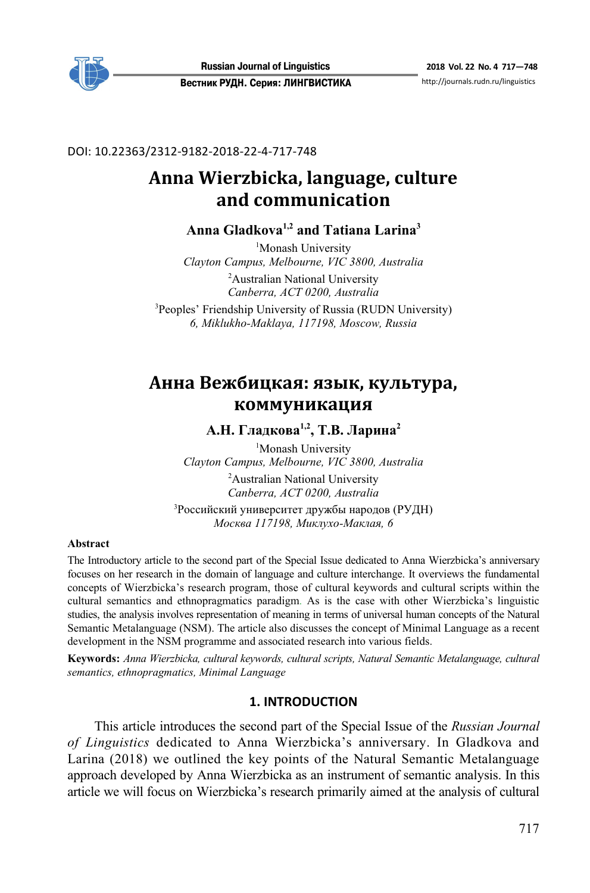

DOI: 10.22363/2312-9182-2018-22-4-717-748

# **Anna Wierzbicka, language, culture and communication**

# **Anna Gladkova1,2 and Tatiana Larina3**

<sup>1</sup>Monash University *Clayton Campus, Melbourne, VIC 3800, Australia*  <sup>2</sup>Australian National University *Canberra, ACT 0200, Australia* 

3 Peoples' Friendship University of Russia (RUDN University) *6, Miklukho-Maklaya, 117198, Moscow, Russia* 

# **Анна Вежбицкая: язык, культура, коммуникация**

А.Н. Гладкова<sup>1,2</sup>, Т.В. Ларина<sup>2</sup>

<sup>1</sup>Monash University *Clayton Campus, Melbourne, VIC 3800, Australia*  <sup>2</sup>Australian National University *Canberra, ACT 0200, Australia* 

3 Российский университет дружбы народов (РУДН) *Москва 117198, Миклухо-Маклая, 6* 

### **Abstract**

The Introductory article to the second part of the Special Issue dedicated to Anna Wierzbicka's anniversary focuses on her research in the domain of language and culture interchange. It overviews the fundamental concepts of Wierzbicka's research program, those of cultural keywords and cultural scripts within the cultural semantics and ethnopragmatics paradigm. As is the case with other Wierzbicka's linguistic studies, the analysis involves representation of meaning in terms of universal human concepts of the Natural Semantic Metalanguage (NSM). The article also discusses the concept of Minimal Language as a recent development in the NSM programme and associated research into various fields.

**Keywords:** *Anna Wierzbicka, cultural keywords, cultural scripts, Natural Semantic Metalanguage, cultural semantics, ethnopragmatics, Minimal Language*

# **1. INTRODUCTION**

This article introduces the second part of the Special Issue of the *Russian Journal of Linguistics* dedicated to Anna Wierzbicka's anniversary. In Gladkova and Larina (2018) we outlined the key points of the Natural Semantic Metalanguage approach developed by Anna Wierzbicka as an instrument of semantic analysis. In this article we will focus on Wierzbicka's research primarily aimed at the analysis of cultural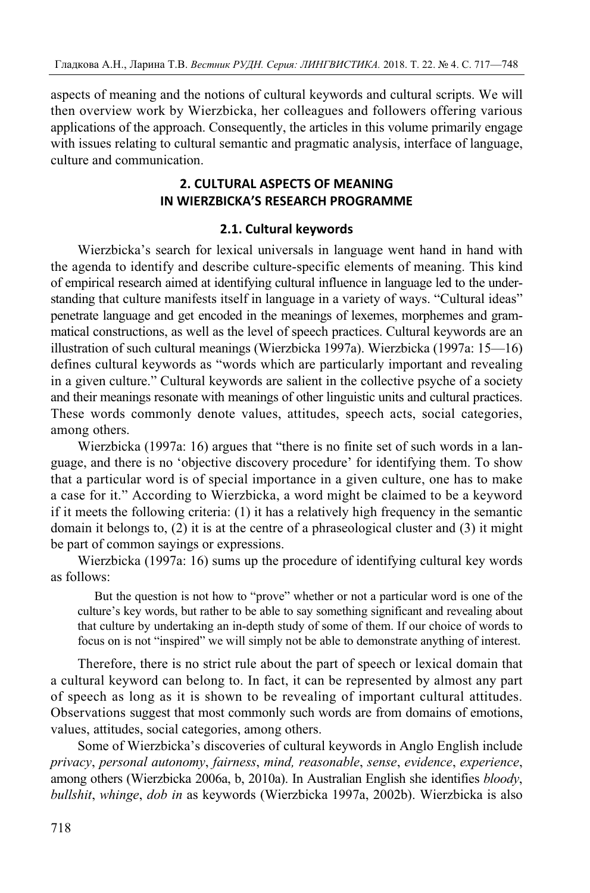aspects of meaning and the notions of cultural keywords and cultural scripts. We will then overview work by Wierzbicka, her colleagues and followers offering various applications of the approach. Consequently, the articles in this volume primarily engage with issues relating to cultural semantic and pragmatic analysis, interface of language, culture and communication.

# **2. CULTURAL ASPECTS OF MEANING IN WIERZBICKA'S RESEARCH PROGRAMME**

# **2.1. Cultural keywords**

Wierzbicka's search for lexical universals in language went hand in hand with the agenda to identify and describe culture-specific elements of meaning. This kind of empirical research aimed at identifying cultural influence in language led to the understanding that culture manifests itself in language in a variety of ways. "Cultural ideas" penetrate language and get encoded in the meanings of lexemes, morphemes and grammatical constructions, as well as the level of speech practices. Cultural keywords are an illustration of such cultural meanings (Wierzbicka 1997a). Wierzbicka (1997a: 15—16) defines cultural keywords as "words which are particularly important and revealing in a given culture." Cultural keywords are salient in the collective psyche of a society and their meanings resonate with meanings of other linguistic units and cultural practices. These words commonly denote values, attitudes, speech acts, social categories, among others.

Wierzbicka (1997a: 16) argues that "there is no finite set of such words in a language, and there is no 'objective discovery procedure' for identifying them. To show that a particular word is of special importance in a given culture, one has to make a case for it." According to Wierzbicka, a word might be claimed to be a keyword if it meets the following criteria: (1) it has a relatively high frequency in the semantic domain it belongs to, (2) it is at the centre of a phraseological cluster and (3) it might be part of common sayings or expressions.

Wierzbicka (1997a: 16) sums up the procedure of identifying cultural key words as follows:

But the question is not how to "prove" whether or not a particular word is one of the culture's key words, but rather to be able to say something significant and revealing about that culture by undertaking an in-depth study of some of them. If our choice of words to focus on is not "inspired" we will simply not be able to demonstrate anything of interest.

Therefore, there is no strict rule about the part of speech or lexical domain that a cultural keyword can belong to. In fact, it can be represented by almost any part of speech as long as it is shown to be revealing of important cultural attitudes. Observations suggest that most commonly such words are from domains of emotions, values, attitudes, social categories, among others.

Some of Wierzbicka's discoveries of cultural keywords in Anglo English include *privacy*, *personal autonomy*, *fairness*, *mind, reasonable*, *sense*, *evidence*, *experience*, among others (Wierzbicka 2006a, b, 2010a). In Australian English she identifies *bloody*, *bullshit*, *whinge*, *dob in* as keywords (Wierzbicka 1997a, 2002b). Wierzbicka is also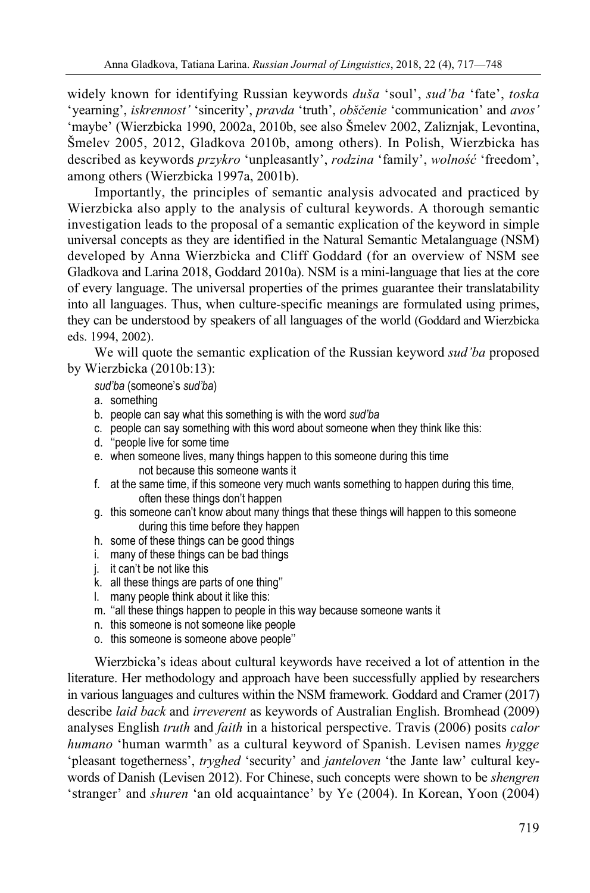widely known for identifying Russian keywords *duša* 'soul', *sud'ba* 'fate', *toska* 'yearning', *iskrennost'* 'sincerity', *pravda* 'truth', *obščenie* 'communication' and *avos'* 'maybe' (Wierzbicka 1990, 2002a, 2010b, see also Šmelev 2002, Zaliznjak, Levontina, Šmelev 2005, 2012, Gladkova 2010b, among others). In Polish, Wierzbicka has described as keywords *przykro* 'unpleasantly', *rodzina* 'family', *wolność* 'freedom', among others (Wierzbicka 1997a, 2001b).

Importantly, the principles of semantic analysis advocated and practiced by Wierzbicka also apply to the analysis of cultural keywords. A thorough semantic investigation leads to the proposal of a semantic explication of the keyword in simple universal concepts as they are identified in the Natural Semantic Metalanguage (NSM) developed by Anna Wierzbicka and Cliff Goddard (for an overview of NSM see Gladkova and Larina 2018, Goddard 2010a). NSM is a mini-language that lies at the core of every language. The universal properties of the primes guarantee their translatability into all languages. Thus, when culture-specific meanings are formulated using primes, they can be understood by speakers of all languages of the world (Goddard and Wierzbicka eds. 1994, 2002).

We will quote the semantic explication of the Russian keyword *sud'ba* proposed by Wierzbicka (2010b:13):

# *sud'ba* (someone's *sud'ba*)

- a. something
- b. people can say what this something is with the word *sud'ba*
- c. people can say something with this word about someone when they think like this:
- d. ''people live for some time
- e. when someone lives, many things happen to this someone during this time not because this someone wants it
- f. at the same time, if this someone very much wants something to happen during this time, often these things don't happen
- g. this someone can't know about many things that these things will happen to this someone during this time before they happen
- h. some of these things can be good things
- i. many of these things can be bad things
- j. it can't be not like this
- k. all these things are parts of one thing''
- l. many people think about it like this:
- m. ''all these things happen to people in this way because someone wants it
- n. this someone is not someone like people
- o. this someone is someone above people''

Wierzbicka's ideas about cultural keywords have received a lot of attention in the literature. Her methodology and approach have been successfully applied by researchers in various languages and cultures within the NSM framework. Goddard and Cramer (2017) describe *laid back* and *irreverent* as keywords of Australian English. Bromhead (2009) analyses English *truth* and *faith* in a historical perspective. Travis (2006) posits *calor humano* 'human warmth' as a cultural keyword of Spanish. Levisen names *hygge* 'pleasant togetherness', *tryghed* 'security' and *janteloven* 'the Jante law' cultural keywords of Danish (Levisen 2012). For Chinese, such concepts were shown to be *shengren* 'stranger' and *shuren* 'an old acquaintance' by Ye (2004). In Korean, Yoon (2004)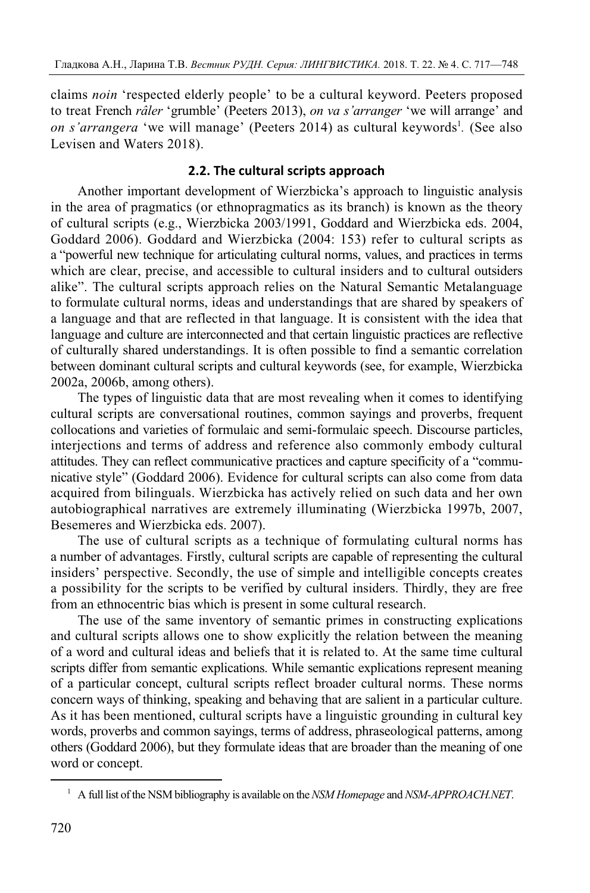claims *noin* 'respected elderly people' to be a cultural keyword. Peeters proposed to treat French *râler* 'grumble' (Peeters 2013), *on va s'arranger* 'we will arrange' and *on s'arrangera* 'we will manage' (Peeters 2014) as cultural keywords<sup>1</sup>. (See also Levisen and Waters 2018).

### **2.2. The cultural scripts approach**

Another important development of Wierzbicka's approach to linguistic analysis in the area of pragmatics (or ethnopragmatics as its branch) is known as the theory of cultural scripts (e.g., Wierzbicka 2003/1991, Goddard and Wierzbicka eds. 2004, Goddard 2006). Goddard and Wierzbicka (2004: 153) refer to cultural scripts as a "powerful new technique for articulating cultural norms, values, and practices in terms which are clear, precise, and accessible to cultural insiders and to cultural outsiders alike". The cultural scripts approach relies on the Natural Semantic Metalanguage to formulate cultural norms, ideas and understandings that are shared by speakers of a language and that are reflected in that language. It is consistent with the idea that language and culture are interconnected and that certain linguistic practices are reflective of culturally shared understandings. It is often possible to find a semantic correlation between dominant cultural scripts and cultural keywords (see, for example, Wierzbicka 2002а, 2006b, among others).

The types of linguistic data that are most revealing when it comes to identifying cultural scripts are conversational routines, common sayings and proverbs, frequent collocations and varieties of formulaic and semi-formulaic speech. Discourse particles, interjections and terms of address and reference also commonly embody cultural attitudes. They can reflect communicative practices and capture specificity of a "communicative style" (Goddard 2006). Evidence for cultural scripts can also come from data acquired from bilinguals. Wierzbicka has actively relied on such data and her own autobiographical narratives are extremely illuminating (Wierzbicka 1997b, 2007, Besemeres and Wierzbicka eds. 2007).

The use of cultural scripts as a technique of formulating cultural norms has a number of advantages. Firstly, cultural scripts are capable of representing the cultural insiders' perspective. Secondly, the use of simple and intelligible concepts creates a possibility for the scripts to be verified by cultural insiders. Thirdly, they are free from an ethnocentric bias which is present in some cultural research.

The use of the same inventory of semantic primes in constructing explications and cultural scripts allows one to show explicitly the relation between the meaning of a word and cultural ideas and beliefs that it is related to. At the same time cultural scripts differ from semantic explications. While semantic explications represent meaning of a particular concept, cultural scripts reflect broader cultural norms. These norms concern ways of thinking, speaking and behaving that are salient in a particular culture. As it has been mentioned, cultural scripts have a linguistic grounding in cultural key words, proverbs and common sayings, terms of address, phraseological patterns, among others (Goddard 2006), but they formulate ideas that are broader than the meaning of one word or concept.

 $\overline{a}$ 

<sup>1</sup> A full list of the NSM bibliography is available on the *NSM Homepage* and *NSM-APPROACH.NET*.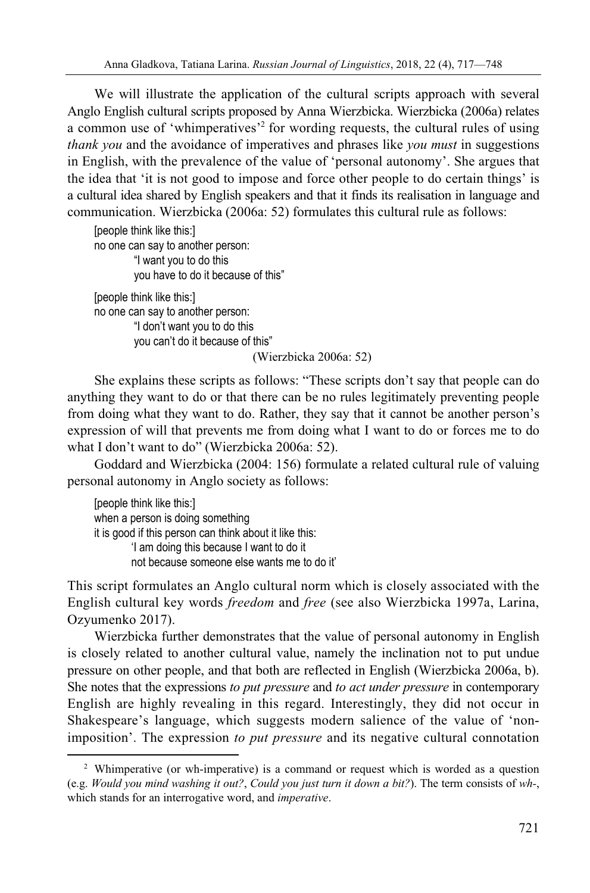We will illustrate the application of the cultural scripts approach with several Anglo English cultural scripts proposed by Anna Wierzbicka. Wierzbicka (2006a) relates a common use of 'whimperatives'<sup>2</sup> for wording requests, the cultural rules of using *thank you* and the avoidance of imperatives and phrases like *you must* in suggestions in English, with the prevalence of the value of 'personal autonomy'. She argues that the idea that 'it is not good to impose and force other people to do certain things' is a cultural idea shared by English speakers and that it finds its realisation in language and communication. Wierzbicka (2006a: 52) formulates this cultural rule as follows:

[people think like this:] no one can say to another person: "I want you to do this you have to do it because of this" [people think like this:] no one can say to another person: "I don't want you to do this you can't do it because of this"

(Wierzbicka 2006a: 52)

She explains these scripts as follows: "These scripts don't say that people can do anything they want to do or that there can be no rules legitimately preventing people from doing what they want to do. Rather, they say that it cannot be another person's expression of will that prevents me from doing what I want to do or forces me to do what I don't want to do" (Wierzbicka 2006a: 52).

Goddard and Wierzbicka (2004: 156) formulate a related cultural rule of valuing personal autonomy in Anglo society as follows:

[people think like this:] when a person is doing something it is good if this person can think about it like this: 'I am doing this because I want to do it not because someone else wants me to do it'

 $\overline{a}$ 

This script formulates an Anglo cultural norm which is closely associated with the English cultural key words *freedom* and *free* (see also Wierzbicka 1997a, Larina, Ozyumenko 2017).

Wierzbicka further demonstrates that the value of personal autonomy in English is closely related to another cultural value, namely the inclination not to put undue pressure on other people, and that both are reflected in English (Wierzbicka 2006a, b). She notes that the expressions *to put pressure* and *to act under pressure* in contemporary English are highly revealing in this regard. Interestingly, they did not occur in Shakespeare's language, which suggests modern salience of the value of 'nonimposition'. The expression *to put pressure* and its negative cultural connotation

<sup>&</sup>lt;sup>2</sup> Whimperative (or wh-imperative) is a command or request which is worded as a question (e.g. *Would you mind washing it out?*, *Could you just turn it down a bit?*). The term consists of *wh-*, which stands for an interrogative word, and *imperative*.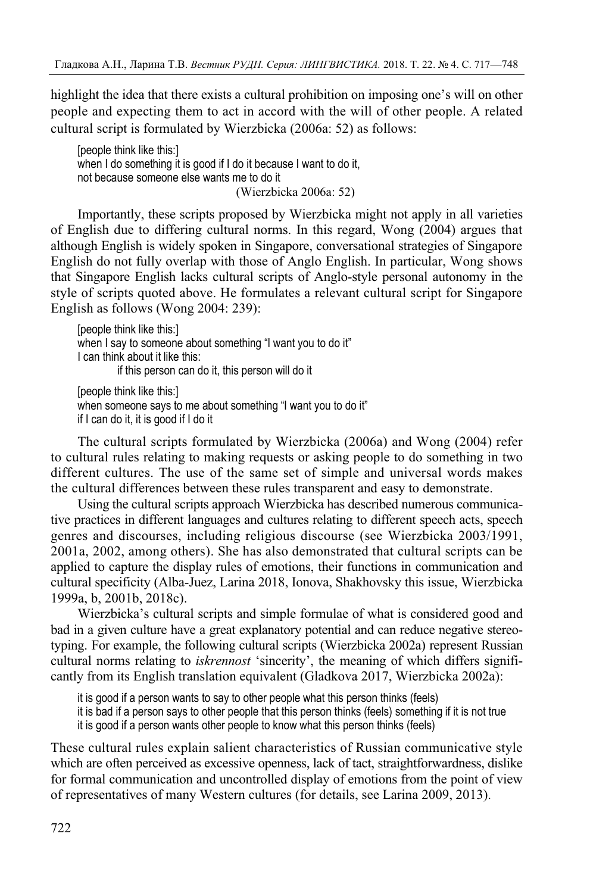highlight the idea that there exists a cultural prohibition on imposing one's will on other people and expecting them to act in accord with the will of other people. A related cultural script is formulated by Wierzbicka (2006a: 52) as follows:

[people think like this:] when I do something it is good if I do it because I want to do it, not because someone else wants me to do it (Wierzbicka 2006a: 52)

Importantly, these scripts proposed by Wierzbicka might not apply in all varieties of English due to differing cultural norms. In this regard, Wong (2004) argues that although English is widely spoken in Singapore, conversational strategies of Singapore English do not fully overlap with those of Anglo English. In particular, Wong shows that Singapore English lacks cultural scripts of Anglo-style personal autonomy in the style of scripts quoted above. He formulates a relevant cultural script for Singapore English as follows (Wong 2004: 239):

[people think like this:] when I say to someone about something "I want you to do it" I can think about it like this: if this person can do it, this person will do it [people think like this:]

when someone says to me about something "I want you to do it" if I can do it, it is good if I do it

The cultural scripts formulated by Wierzbicka (2006a) and Wong (2004) refer to cultural rules relating to making requests or asking people to do something in two different cultures. The use of the same set of simple and universal words makes the cultural differences between these rules transparent and easy to demonstrate.

Using the cultural scripts approach Wierzbicka has described numerous communicative practices in different languages and cultures relating to different speech acts, speech genres and discourses, including religious discourse (see Wierzbicka 2003/1991, 2001a, 2002, among others). She has also demonstrated that cultural scripts can be applied to capture the display rules of emotions, their functions in communication and cultural specificity (Alba-Juez, Larina 2018, Ionova, Shakhovsky this issue, Wierzbicka 1999a, b, 2001b, 2018c).

Wierzbicka's cultural scripts and simple formulae of what is considered good and bad in a given culture have a great explanatory potential and can reduce negative stereotyping. For example, the following cultural scripts (Wierzbicka 2002а) represent Russian cultural norms relating to *iskrennost* 'sincerity', the meaning of which differs significantly from its English translation equivalent (Gladkova 2017, Wierzbicka 2002a):

it is good if a person wants to say to other people what this person thinks (feels)

it is bad if a person says to other people that this person thinks (feels) something if it is not true

it is good if a person wants other people to know what this person thinks (feels)

These cultural rules explain salient characteristics of Russian communicative style which are often perceived as excessive openness, lack of tact, straightforwardness, dislike for formal communication and uncontrolled display of emotions from the point of view of representatives of many Western cultures (for details, see Larina 2009, 2013).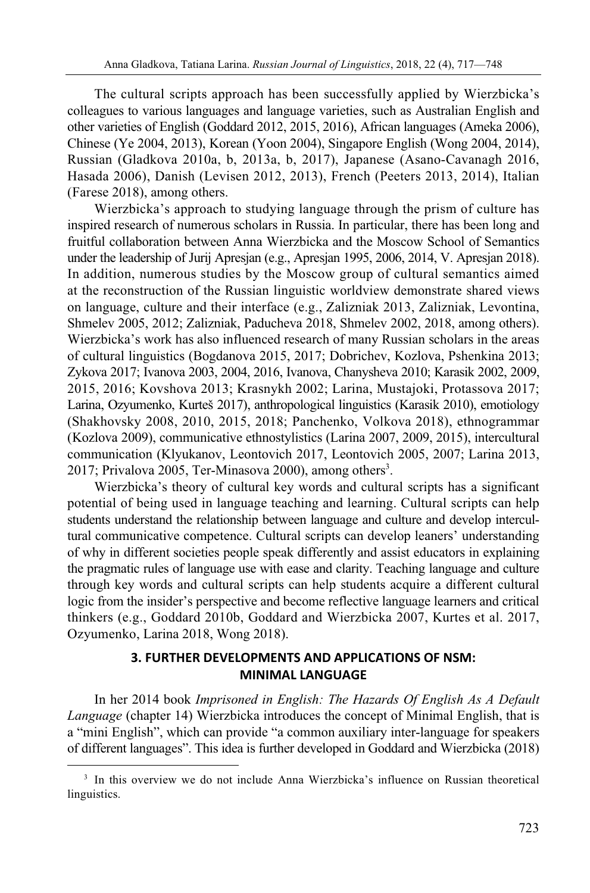The cultural scripts approach has been successfully applied by Wierzbicka's colleagues to various languages and language varieties, such as Australian English and other varieties of English (Goddard 2012, 2015, 2016), African languages (Ameka 2006), Chinese (Ye 2004, 2013), Korean (Yoon 2004), Singapore English (Wong 2004, 2014), Russian (Gladkova 2010a, b, 2013a, b, 2017), Japanese (Asano-Cavanagh 2016, Hasada 2006), Danish (Levisen 2012, 2013), French (Peeters 2013, 2014), Italian (Farese 2018), among others.

Wierzbicka's approach to studying language through the prism of culture has inspired research of numerous scholars in Russia. In particular, there has been long and fruitful collaboration between Anna Wierzbicka and the Moscow School of Semantics under the leadership of Jurij Apresjan (e.g., Apresjan 1995, 2006, 2014, V. Apresjan 2018). In addition, numerous studies by the Moscow group of cultural semantics aimed at the reconstruction of the Russian linguistic worldview demonstrate shared views on language, culture and their interface (e.g., Zalizniak 2013, Zalizniak, Levontina, Shmelev 2005, 2012; Zalizniak, Paducheva 2018, Shmelev 2002, 2018, among others). Wierzbicka's work has also influenced research of many Russian scholars in the areas of cultural linguistics (Bogdanova 2015, 2017; Dobrichev, Kozlova, Pshenkina 2013; Zykova 2017; Ivanova 2003, 2004, 2016, Ivanova, Chanysheva 2010; Karasik 2002, 2009, 2015, 2016; Kovshova 2013; Krasnykh 2002; Larina, Mustajoki, Protassova 2017; Larina, Ozyumenko, Kurteš 2017), anthropological linguistics (Karasik 2010), emotiology (Shakhovsky 2008, 2010, 2015, 2018; Panchenko, Volkova 2018), ethnogrammar (Kozlova 2009), communicative ethnostylistics (Larina 2007, 2009, 2015), intercultural communication (Klyukanov, Leontovich 2017, Leontovich 2005, 2007; Larina 2013, 2017; Privalova 2005, Ter-Minasova 2000), among others<sup>3</sup>.

Wierzbicka's theory of cultural key words and cultural scripts has a significant potential of being used in language teaching and learning. Cultural scripts can help students understand the relationship between language and culture and develop intercultural communicative competence. Cultural scripts can develop leaners' understanding of why in different societies people speak differently and assist educators in explaining the pragmatic rules of language use with ease and clarity. Teaching language and culture through key words and cultural scripts can help students acquire a different cultural logic from the insider's perspective and become reflective language learners and critical thinkers (e.g., Goddard 2010b, Goddard and Wierzbicka 2007, Kurtes et al. 2017, Ozyumenko, Larina 2018, Wong 2018).

# **3. FURTHER DEVELOPMENTS AND APPLICATIONS OF NSM: MINIMAL LANGUAGE**

In her 2014 book *Imprisoned in English: The Hazards Of English As A Default Language* (chapter 14) Wierzbicka introduces the concept of Minimal English, that is a "mini English", which can provide "a common auxiliary inter-language for speakers of different languages". This idea is further developed in Goddard and Wierzbicka (2018)

 $\overline{a}$ 

<sup>&</sup>lt;sup>3</sup> In this overview we do not include Anna Wierzbicka's influence on Russian theoretical linguistics.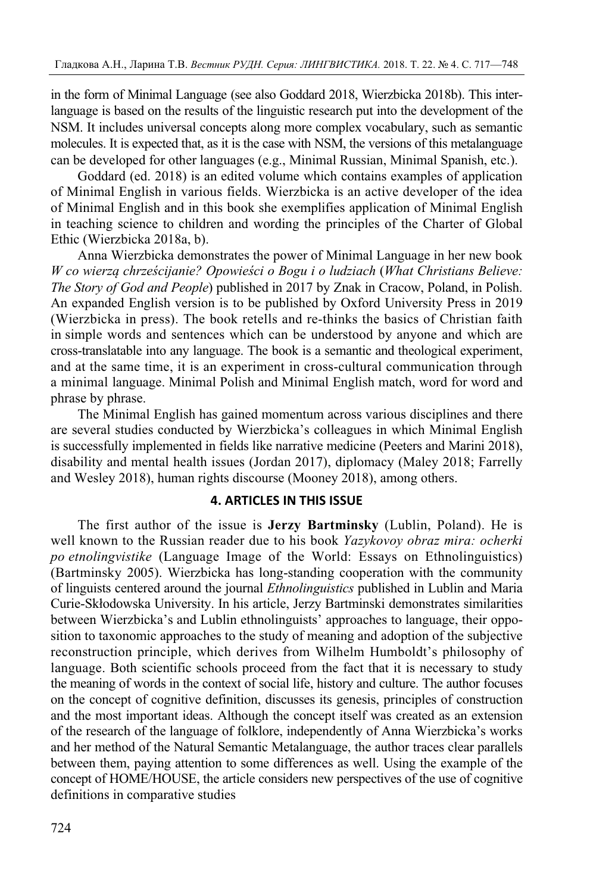in the form of Minimal Language (see also Goddard 2018, Wierzbicka 2018b). This interlanguage is based on the results of the linguistic research put into the development of the NSM. It includes universal concepts along more complex vocabulary, such as semantic molecules. It is expected that, as it is the case with NSM, the versions of this metalanguage can be developed for other languages (e.g., Minimal Russian, Minimal Spanish, etc.).

Goddard (ed. 2018) is an edited volume which contains examples of application of Minimal English in various fields. Wierzbicka is an active developer of the idea of Minimal English and in this book she exemplifies application of Minimal English in teaching science to children and wording the principles of the Charter of Global Ethic (Wierzbicka 2018a, b).

Anna Wierzbicka demonstrates the power of Minimal Language in her new book *W co wierzą chrześcijanie? Opowieści o Bogu i o ludziach* (*What Christians Believe: The Story of God and People*) published in 2017 by Znak in Cracow, Poland, in Polish. An expanded English version is to be published by Oxford University Press in 2019 (Wierzbicka in press). The book retells and re-thinks the basics of Christian faith in simple words and sentences which can be understood by anyone and which are cross-translatable into any language. The book is a semantic and theological experiment, and at the same time, it is an experiment in cross-cultural communication through a minimal language. Minimal Polish and Minimal English match, word for word and phrase by phrase.

The Minimal English has gained momentum across various disciplines and there are several studies conducted by Wierzbicka's colleagues in which Minimal English is successfully implemented in fields like narrative medicine (Peeters and Marini 2018), disability and mental health issues (Jordan 2017), diplomacy (Maley 2018; Farrelly and Wesley 2018), human rights discourse (Mooney 2018), among others.

# **4. ARTICLES IN THIS ISSUE**

The first author of the issue is **Jerzy Bartminsky** (Lublin, Poland). He is well known to the Russian reader due to his book *Yazykovoy obraz mira: ocherki po etnolingvistike* (Language Image of the World: Essays on Ethnolinguistics) (Bartminsky 2005). Wierzbicka has long-standing cooperation with the community of linguists centered around the journal *Ethnolinguistics* published in Lublin and Maria Curie-Skłodowska University. In his article, Jerzy Bartminski demonstrates similarities between Wierzbicka's and Lublin ethnolinguists' approaches to language, their opposition to taxonomic approaches to the study of meaning and adoption of the subjective reconstruction principle, which derives from Wilhelm Humboldt's philosophy of language. Both scientific schools proceed from the fact that it is necessary to study the meaning of words in the context of social life, history and culture. The author focuses on the concept of cognitive definition, discusses its genesis, principles of construction and the most important ideas. Although the concept itself was created as an extension of the research of the language of folklore, independently of Anna Wierzbicka's works and her method of the Natural Semantic Metalanguage, the author traces clear parallels between them, paying attention to some differences as well. Using the example of the concept of HOME/HOUSE, the article considers new perspectives of the use of cognitive definitions in comparative studies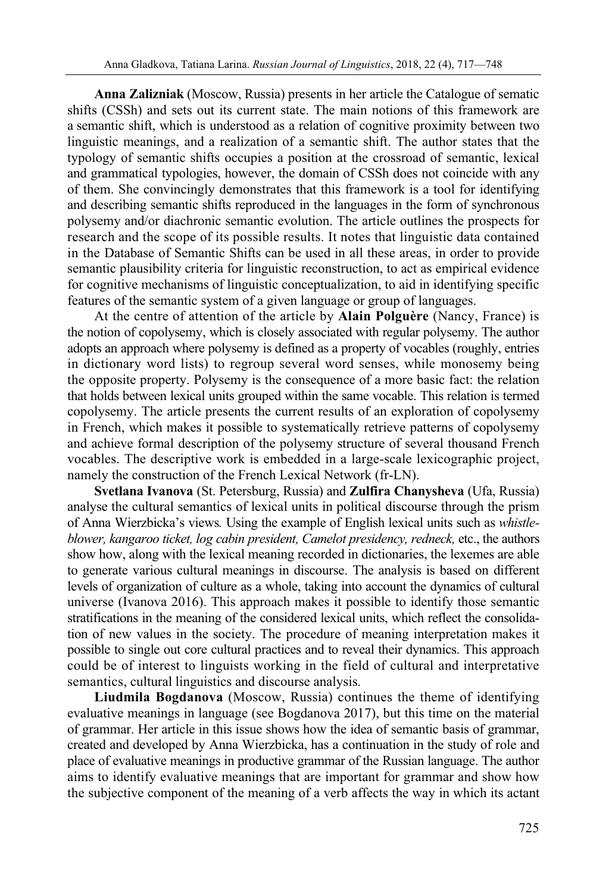**Anna Zalizniak** (Moscow, Russia) presents in her article the Catalogue of sematic shifts (CSSh) and sets out its current state. The main notions of this framework are a semantic shift, which is understood as a relation of cognitive proximity between two linguistic meanings, and a realization of a semantic shift. The author states that the typology of semantic shifts occupies a position at the crossroad of semantic, lexical and grammatical typologies, however, the domain of CSSh does not coincide with any of them. She convincingly demonstrates that this framework is a tool for identifying and describing semantic shifts reproduced in the languages in the form of synchronous polysemy and/or diachronic semantic evolution. The article outlines the prospects for research and the scope of its possible results. It notes that linguistic data contained in the Database of Semantic Shifts can be used in all these areas, in order to provide semantic plausibility criteria for linguistic reconstruction, to act as empirical evidence for cognitive mechanisms of linguistic conceptualization, to aid in identifying specific features of the semantic system of a given language or group of languages.

At the centre of attention of the article by **Alain Polguère** (Nancy, France) is the notion of copolysemy, which is closely associated with regular polysemy. The author adopts an approach where polysemy is defined as a property of vocables (roughly, entries in dictionary word lists) to regroup several word senses, while monosemy being the opposite property. Polysemy is the consequence of a more basic fact: the relation that holds between lexical units grouped within the same vocable. This relation is termed copolysemy. The article presents the current results of an exploration of copolysemy in French, which makes it possible to systematically retrieve patterns of copolysemy and achieve formal description of the polysemy structure of several thousand French vocables. The descriptive work is embedded in a large-scale lexicographic project, namely the construction of the French Lexical Network (fr-LN).

**Svetlana Ivanova** (St. Petersburg, Russia) and **Zulfira Chanysheva** (Ufa, Russia) analyse the cultural semantics of lexical units in political discourse through the prism of Anna Wierzbicka's views*.* Using the example of English lexical units such as *whistleblower, kangaroo ticket, log cabin president, Camelot presidency, redneck,* etc., the authors show how, along with the lexical meaning recorded in dictionaries, the lexemes are able to generate various cultural meanings in discourse. The analysis is based on different levels of organization of culture as a whole, taking into account the dynamics of cultural universe (Ivanova 2016). This approach makes it possible to identify those semantic stratifications in the meaning of the considered lexical units, which reflect the consolidation of new values in the society. The procedure of meaning interpretation makes it possible to single out core cultural practices and to reveal their dynamics. This approach could be of interest to linguists working in the field of cultural and interpretative semantics, cultural linguistics and discourse analysis.

**Liudmila Bogdanova** (Moscow, Russia) continues the theme of identifying evaluative meanings in language (see Bogdanova 2017), but this time on the material of grammar. Her article in this issue shows how the idea of semantic basis of grammar, created and developed by Anna Wierzbicka, has a continuation in the study of role and place of evaluative meanings in productive grammar of the Russian language. The author aims to identify evaluative meanings that are important for grammar and show how the subjective component of the meaning of a verb affects the way in which its actant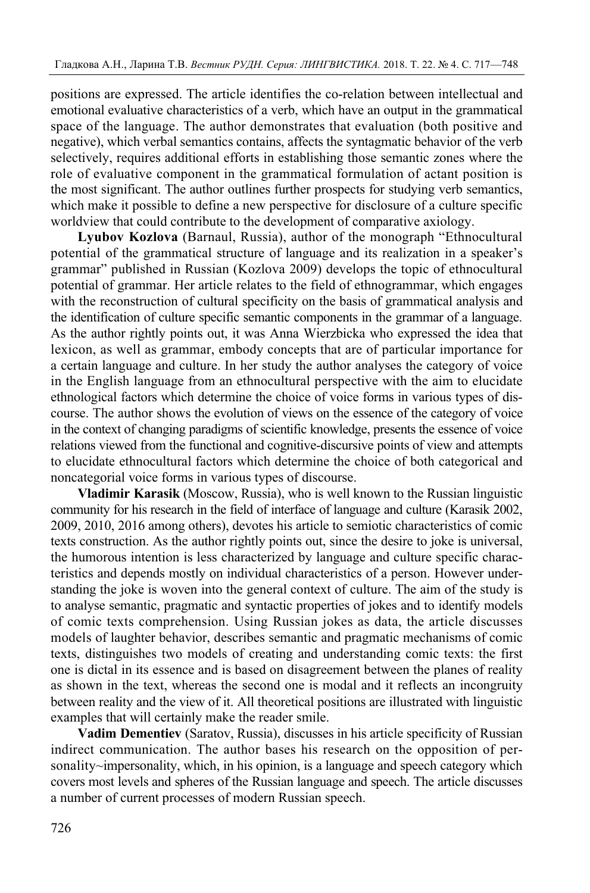positions are expressed. The article identifies the co-relation between intellectual and emotional evaluative characteristics of a verb, which have an output in the grammatical space of the language. The author demonstrates that evaluation (both positive and negative), which verbal semantics contains, affects the syntagmatic behavior of the verb selectively, requires additional efforts in establishing those semantic zones where the role of evaluative component in the grammatical formulation of actant position is the most significant. The author outlines further prospects for studying verb semantics, which make it possible to define a new perspective for disclosure of a culture specific worldview that could contribute to the development of comparative axiology.

**Lyubov Kozlova** (Barnaul, Russia), author of the monograph "Ethnocultural potential of the grammatical structure of language and its realization in a speaker's grammar" published in Russian (Kozlova 2009) develops the topic of ethnocultural potential of grammar. Her article relates to the field of ethnogrammar, which engages with the reconstruction of cultural specificity on the basis of grammatical analysis and the identification of culture specific semantic components in the grammar of a language. As the author rightly points out, it was Anna Wierzbicka who expressed the idea that lexicon, as well as grammar, embody concepts that are of particular importance for a certain language and culture. In her study the author analyses the category of voice in the English language from an ethnocultural perspective with the aim to elucidate ethnological factors which determine the choice of voice forms in various types of discourse. The author shows the evolution of views on the essence of the category of voice in the context of changing paradigms of scientific knowledge, presents the essence of voice relations viewed from the functional and cognitive-discursive points of view and attempts to elucidate ethnocultural factors which determine the choice of both categorical and noncategorial voice forms in various types of discourse.

**Vladimir Karasik** (Moscow, Russia), who is well known to the Russian linguistic community for his research in the field of interface of language and culture (Karasik 2002, 2009, 2010, 2016 among others), devotes his article to semiotic characteristics of comic texts construction. As the author rightly points out, since the desire to joke is universal, the humorous intention is less characterized by language and culture specific characteristics and depends mostly on individual characteristics of a person. However understanding the joke is woven into the general context of culture. The aim of the study is to analyse semantic, pragmatic and syntactic properties of jokes and to identify models of comic texts comprehension. Using Russian jokes as data, the article discusses models of laughter behavior, describes semantic and pragmatic mechanisms of comic texts, distinguishes two models of creating and understanding comic texts: the first one is dictal in its essence and is based on disagreement between the planes of reality as shown in the text, whereas the second one is modal and it reflects an incongruity between reality and the view of it. All theoretical positions are illustrated with linguistic examples that will certainly make the reader smile.

**Vadim Dementiev** (Saratov, Russia), discusses in his article specificity of Russian indirect communication. The author bases his research on the opposition of personality~impersonality, which, in his opinion, is a language and speech category which covers most levels and spheres of the Russian language and speech. The article discusses a number of current processes of modern Russian speech.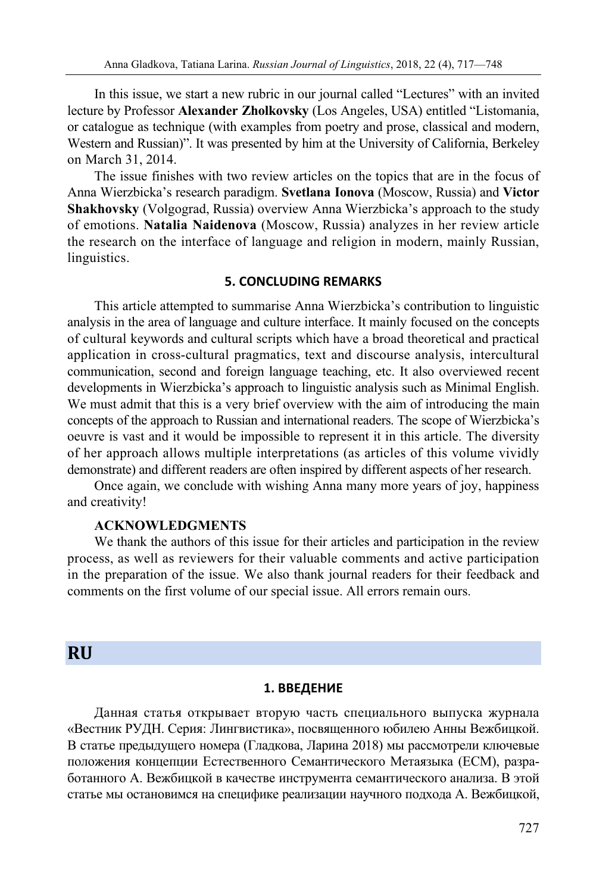In this issue, we start a new rubric in our journal called "Lectures" with an invited lecture by Professor **Alexander Zholkovsky** (Los Angeles, USA) entitled "Listomania, or catalogue as technique (with examples from poetry and prose, classical and modern, Western and Russian)". It was presented by him at the University of California, Berkeley on March 31, 2014.

The issue finishes with two review articles on the topics that are in the focus of Anna Wierzbicka's research paradigm. **Svetlana Ionova** (Moscow, Russia) and **Victor Shakhovsky** (Volgograd, Russia) overview Anna Wierzbicka's approach to the study of emotions. **Natalia Naidenova** (Moscow, Russia) analyzes in her review article the research on the interface of language and religion in modern, mainly Russian, linguistics.

### **5. CONCLUDING REMARKS**

This article attempted to summarise Anna Wierzbicka's contribution to linguistic analysis in the area of language and culture interface. It mainly focused on the concepts of cultural keywords and cultural scripts which have a broad theoretical and practical application in cross-cultural pragmatics, text and discourse analysis, intercultural communication, second and foreign language teaching, etc. It also overviewed recent developments in Wierzbicka's approach to linguistic analysis such as Minimal English. We must admit that this is a very brief overview with the aim of introducing the main concepts of the approach to Russian and international readers. The scope of Wierzbicka's oeuvre is vast and it would be impossible to represent it in this article. The diversity of her approach allows multiple interpretations (as articles of this volume vividly demonstrate) and different readers are often inspired by different aspects of her research.

Once again, we conclude with wishing Anna many more years of joy, happiness and creativity!

### **ACKNOWLEDGMENTS**

We thank the authors of this issue for their articles and participation in the review process, as well as reviewers for their valuable comments and active participation in the preparation of the issue. We also thank journal readers for their feedback and comments on the first volume of our special issue. All errors remain ours.

# **RU**

#### **1. ВВЕДЕНИЕ**

Данная статья открывает вторую часть специального выпуска журнала «Вестник РУДН. Серия: Лингвистика», посвященного юбилею Анны Вежбицкой. В статье предыдущего номера (Гладкова, Ларина 2018) мы рассмотрели ключевые положения концепции Естественного Семантического Метаязыка (ЕСМ), разработанного А. Вежбицкой в качестве инструмента семантического анализа. В этой статье мы остановимся на специфике реализации научного подхода А. Вежбицкой,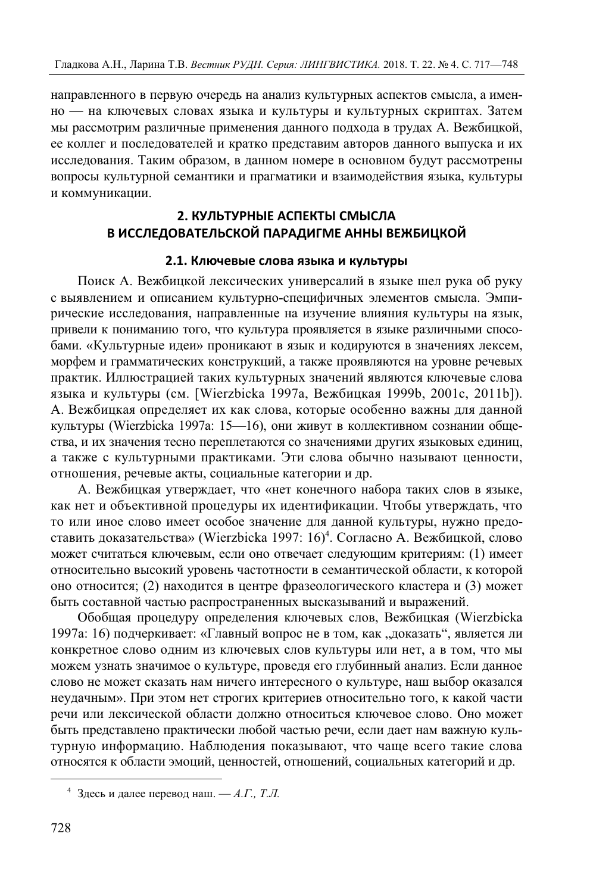направленного в первую очередь на анализ культурных аспектов смысла, а именно — на ключевых словах языка и культуры и культурных скриптах. Затем мы рассмотрим различные применения данного подхода в трудах А. Вежбицкой, ее коллег и последователей и кратко представим авторов данного выпуска и их исследования. Таким образом, в данном номере в основном будут рассмотрены вопросы культурной семантики и прагматики и взаимодействия языка, культуры и коммуникации.

# **2. КУЛЬТУРНЫЕ АСПЕКТЫ СМЫСЛА В ИССЛЕДОВАТЕЛЬСКОЙ ПАРАДИГМЕ АННЫ ВЕЖБИЦКОЙ**

# **2.1. Ключевые слова языка и культуры**

Поиск А. Вежбицкой лексических универсалий в языке шел рука об руку с выявлением и описанием культурно-специфичных элементов смысла. Эмпирические исследования, направленные на изучение влияния культуры на язык, привели к пониманию того, что культура проявляется в языке различными способами. «Культурные идеи» проникают в язык и кодируются в значениях лексем, морфем и грамматических конструкций, а также проявляются на уровне речевых практик. Иллюстрацией таких культурных значений являются ключевые слова языка и культуры (см. [Wierzbicka 1997a, Вежбицкая 1999b, 2001c, 2011b]). A. Вежбицкая определяет их как слова, которые особенно важны для данной культуры (Wierzbicka 1997a: 15—16), они живут в коллективном сознании общества, и их значения тесно переплетаются со значениями других языковых единиц, а также с культурными практиками. Эти слова обычно называют ценности, отношения, речевые акты, социальные категории и др.

A. Вежбицкая утверждает, что «нет конечного набора таких слов в языке, как нет и объективной процедуры их идентификации. Чтобы утверждать, что то или иное слово имеет особое значение для данной культуры, нужно предоставить доказательства» (Wierzbicka 1997: 16)4 . Согласно A. Вежбицкой, слово может считаться ключевым, если оно отвечает следующим критериям: (1) имеет относительно высокий уровень частотности в семантической области, к которой оно относится; (2) находится в центре фразеологического кластера и (3) может быть составной частью распространенных высказываний и выражений.

Обобщая процедуру определения ключевых слов, Вежбицкая (Wierzbicka 1997а: 16) подчеркивает: «Главный вопрос не в том, как "доказать", является ли конкретное слово одним из ключевых слов культуры или нет, а в том, что мы можем узнать значимое о культуре, проведя его глубинный анализ. Если данное слово не может сказать нам ничего интересного о культуре, наш выбор оказался неудачным». При этом нет строгих критериев относительно того, к какой части речи или лексической области должно относиться ключевое слово. Оно может быть представлено практически любой частью речи, если дает нам важную культурную информацию. Наблюдения показывают, что чаще всего такие слова относятся к области эмоций, ценностей, отношений, социальных категорий и др.

 $\overline{a}$ 

<sup>4</sup> Здесь и далее перевод наш. — *А.Г., Т.Л.*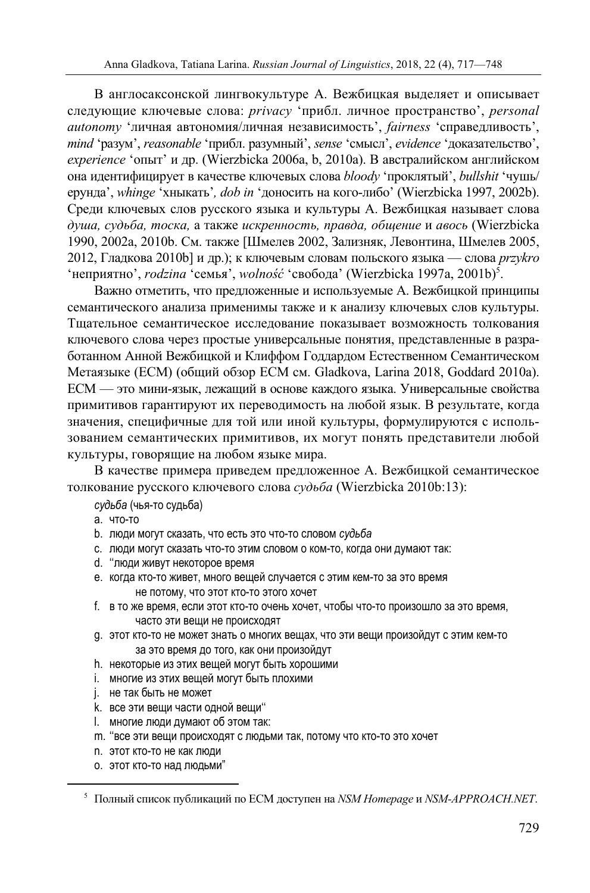В англосаксонской лингвокультуре A. Вежбицкая выделяет и описывает следующие ключевые слова: *privacy* 'прибл. личное пространство', *personal autonomy* 'личная автономия/личная независимость', *fairness* 'справедливость', *mind* 'разум', *reasonable* 'прибл. разумный', *sense* 'смысл', *evidence* 'доказательствo', *experience* 'опыт' и др. (Wierzbicka 2006a, b, 2010a). В австралийском английском она идентифицирует в качестве ключевых слова *bloody* 'проклятый', *bullshit* 'чушь/ ерунда', *whinge* 'хныкать'*, dob in* 'доносить на кого-либо' (Wierzbicka 1997, 2002b). Среди ключевых слов русского языка и культуры А. Вежбицкая называет слова *душа, судьба, тоска,* а также *искренность, правда, общение* и *авось* (Wierzbicka 1990, 2002a, 2010b. См. также [Шмелев 2002, Зализняк, Левонтина, Шмелев 2005, 2012, Гладкова 2010b] и др.); к ключевым словам польского языка — слова *przykro*  'неприятно', *rodzina* 'семья', *wolność* 'свобода' (Wierzbicka 1997a, 2001b)5 .

Важно отметить, что предложенные и используемые А. Вежбицкой принципы семантического анализа применимы также и к анализу ключевых слов культуры. Тщательное семантическое исследование показывает возможность толкования ключевого слова через простые универсальные понятия, представленные в разработанном Анной Вежбицкой и Клиффом Годдардом Естественном Семантическом Метаязыке (ЕСМ) (общий обзор ЕСМ см. Gladkova, Larina 2018, Goddard 2010a). ЕСМ — это мини-язык, лежащий в основе каждого языка. Универсальные свойства примитивов гарантируют их переводимость на любой язык. В результате, когда значения, специфичные для той или иной культуры, формулируются с использованием семантических примитивов, их могут понять представители любой культуры, говорящие на любом языке мира.

В качестве примера приведем предложенное A. Вежбицкой семантическое толкование русского ключевого слова *судьба* (Wierzbicka 2010b:13):

*судьба* (чья-то судьба)

- a. что-то
- b. люди могут сказать, что есть это что-то словом *судьба*
- c. люди могут сказать что-то этим словом о ком-то, когда они думают так:
- d. ''люди живут некоторое время
- e. когда кто-то живет, много вещей случается с этим кем-то за это время не потому, что этот кто-то этого хочет
- f. в то же время, если этот кто-то очень хочет, чтобы что-то произошло за это время, часто эти вещи не происходят
- g. этот кто-то не может знать о многих вещах, что эти вещи произойдут с этим кем-то за это время до того, как они произойдут
- h. некоторые из этих вещей могут быть хорошими
- i. многие из этих вещей могут быть плохими
- j. не так быть не может
- k. все эти вещи части одной вещи''
- l. многие люди думают об этом так:
- m. ''все эти вещи происходят с людьми так, потому что кто-то это хочет
- n. этот кто-то не как люди
- o. этот кто-то над людьми"

 $\overline{a}$ 

<sup>5</sup> Полный список публикаций по ЕСМ доступен на *NSM Homepage* и *NSM-APPROACH.NET*.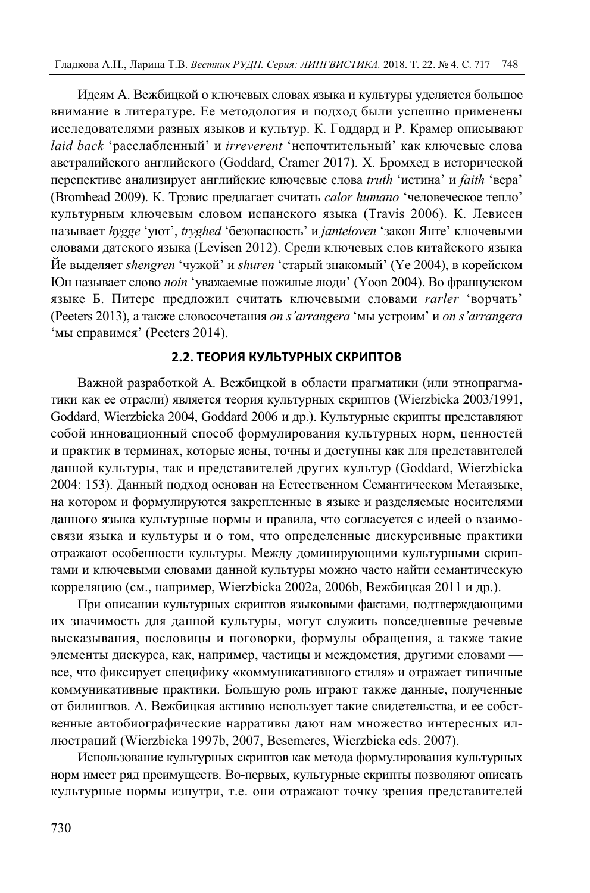Идеям А. Вежбицкой о ключевых словах языка и культуры уделяется большое внимание в литературе. Ее методология и подход были успешно применены исследователями разных языков и культур. К. Годдард и P. Крамер описывают *laid back* 'расслабленный' и *irreverent* 'непочтительный' как ключевые слова австралийского английского (Goddard, Cramer 2017). Х. Бромхед в исторической перспективе анализирует английские ключевые слова *truth* 'истинa' и *faith* 'верa' (Bromhead 2009). К. Трэвис предлагает считать *calor humano* 'человеческое тепло' культурным ключевым словом испанского языка (Travis 2006). К. Левисен называет *hygge* 'уют', *tryghed* 'безопасность' и *janteloven* 'закон Янте' ключевыми словами датского языка (Levisen 2012). Среди ключевых слов китайского языка Йе выделяет *shengren* 'чужой' и *shuren* 'старый знакомый' (Ye 2004), в корейском Юн называет слово *noin* 'уважаемые пожилые люди' (Yoon 2004). Во французском языке Б. Питерс предложил считать ключевыми словами *rarler* 'ворчать' (Peeters 2013), а также словосочетания *on s'arrangera* 'мы устроим' и *on s'arrangera* 'мы справимся' (Peeters 2014).

### **2.2. ТЕОРИЯ КУЛЬТУРНЫХ СКРИПТОВ**

Важной разработкой А. Вежбицкой в области прагматики (или этнопрагматики как ее отрасли) является теория культурных скриптов (Wierzbicka 2003/1991, Goddard, Wierzbicka 2004, Goddard 2006 и др.). Культурные скрипты представляют собой инновационный способ формулирования культурных норм, ценностей и практик в терминах, которые ясны, точны и доступны как для представителей данной культуры, так и представителей других культур (Goddard, Wierzbicka 2004: 153). Данный подход основан на Естественном Семантическом Метаязыке, на котором и формулируются закрепленные в языке и разделяемые носителями данного языка культурные нормы и правила, что согласуется с идеей о взаимосвязи языка и культуры и о том, что определенные дискурсивные практики отражают особенности культуры. Между доминирующими культурными скриптами и ключевыми словами данной культуры можно часто найти семантическую корреляцию (см., например, Wierzbicka 2002а, 2006b, Вежбицкая 2011 и др.).

При описании культурных скриптов языковыми фактами, подтверждающими их значимость для данной культуры, могут служить повседневные речевые высказывания, пословицы и поговорки, формулы обращения, а также такие элементы дискурса, как, например, частицы и междометия, другими словами все, что фиксирует специфику «коммуникативного стиля» и отражает типичные коммуникативные практики. Большую роль играют также данные, полученные от билингвов. А. Вежбицкая активно использует такие свидетельства, и ее собственные автобиографические нарративы дают нам множество интересных иллюстраций (Wierzbicka 1997b, 2007, Besemeres, Wierzbicka eds. 2007).

Использование культурных скриптов как метода формулирования культурных норм имеет ряд преимуществ. Во-первых, культурные скрипты позволяют описать культурные нормы изнутри, т.е. они отражают точку зрения представителей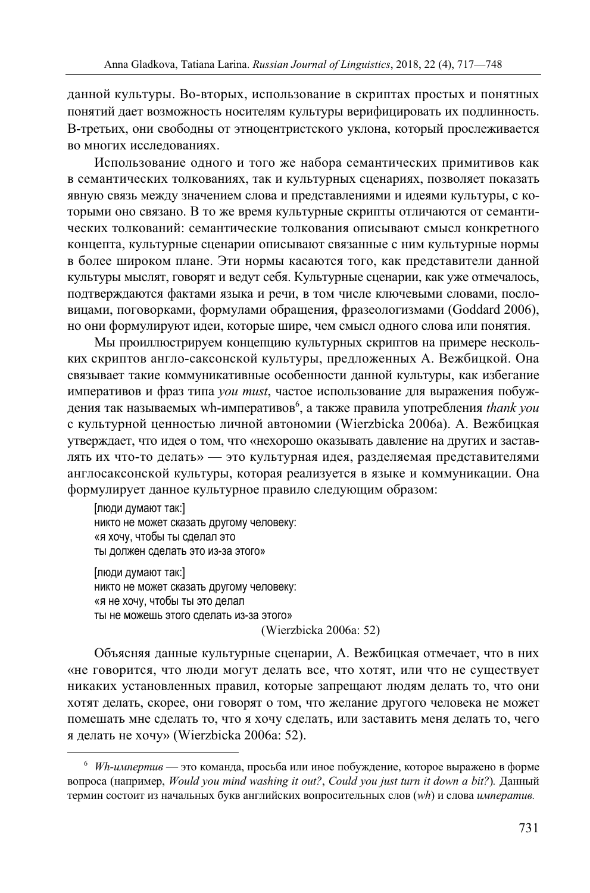данной культуры. Во-вторых, использование в скриптах простых и понятных понятий дает возможность носителям культуры верифицировать их подлинность. В-третьих, они свободны от этноцентристского уклона, который прослеживается во многих исследованиях.

Использование одного и того же набора семантических примитивов как в семантических толкованиях, так и культурных сценариях, позволяет показать явную связь между значением слова и представлениями и идеями культуры, с которыми оно связано. В то же время культурные скрипты отличаются от семантических толкований: семантические толкования описывают смысл конкретного концепта, культурные сценарии описывают связанные с ним культурные нормы в более широком плане. Эти нормы касаются того, как представители данной культуры мыслят, говорят и ведут себя. Культурные сценарии, как уже отмечалось, подтверждаются фактами языка и речи, в том числе ключевыми словами, пословицами, поговорками, формулами обращения, фразеологизмами (Goddard 2006), но они формулируют идеи, которые шире, чем смысл одного слова или понятия.

Мы проиллюстрируем концепцию культурных скриптов на примере нескольких скриптов англо-саксонской культуры, предложенных А. Вежбицкой. Она связывает такие коммуникативные особенности данной культуры, как избегание императивов и фраз типа *you must*, частое использование для выражения побуждения так называемых wh-императивов<sup>6</sup>, а также правила употребления *thank you* с культурной ценностью личной автономии (Wierzbicka 2006a). А. Вежбицкая утверждает, что идея о том, что «нехорошо оказывать давление на других и заставлять их что-то делать» — это культурная идея, разделяемая представителями англосаксонской культуры, которая реализуется в языке и коммуникации. Она формулирует данное культурное правило следующим образом:

[люди думают так:] никто не может сказать другому человеку: «я хочу, чтобы ты сделал это ты должен сделать это из-за этого»

 $\overline{a}$ 

[люди думают так:] никто не может сказать другому человеку: «я не хочу, чтобы ты это делал ты не можешь этого сделать из-за этого» (Wierzbicka 2006a: 52)

Объясняя данные культурные сценарии, A. Вежбицкая отмечает, что в них «не говорится, что люди могут делать все, что хотят, или что не существует никаких установленных правил, которые запрещают людям делать то, что они хотят делать, скорее, они говорят о том, что желание другого человека не может помешать мне сделать то, что я хочу сделать, или заставить меня делать то, чего я делать не хочу» (Wierzbicka 2006a: 52).

<sup>6</sup> *Wh-импертив* — это команда, просьба или иное побуждение, которое выражено в форме вопроса (например, *Would you mind washing it out?*, *Could you just turn it down a bit?*)*.* Данный термин состоит из начальных букв английских вопросительных слов (*wh*) и слова *императив.*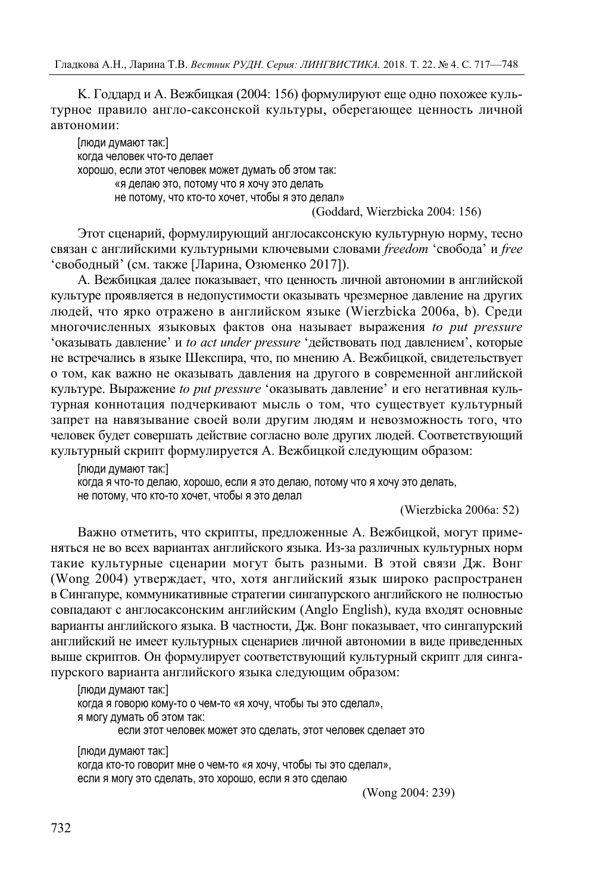K. Годдард и A. Вежбицкая (2004: 156) формулируют еще одно похожее культурное правило англо-саксонской культуры, оберегающее ценность личной автономии:

[люди думают так:] когда человек что-то делает хорошо, если этот человек может думать об этом так: «я делаю это, потому что я хочу это делать не потому, что кто-то хочет, чтобы я это делал»

(Goddard, Wierzbicka 2004: 156)

Этот сценарий, формулирующий англосаксонскую культурную норму, тесно связан с английскими культурными ключевыми словами *freedom* 'свободa' и *free* 'свободный' (см. также [Ларина, Озюменко 2017]).

А. Вежбицкая далее показывает, что ценность личной автономии в английской культуре проявляется в недопустимости оказывать чрезмерное давление на других людей, что ярко отражено в английском языке (Wierzbicka 2006a, b). Среди многочисленных языковых фактов она называет выражения *to put pressure* 'оказывать давление' и *to act under pressure* 'действовать под давлением', которые не встречались в языке Шекспира, что, по мнению А. Вежбицкой, свидетельствует о том, как важно не оказывать давления на другого в современной английской культуре. Выражение *to put pressure* 'оказывать давление' и его негативная культурная коннотация подчеркивают мысль о том, что существует культурный запрет на навязывание своей воли другим людям и невозможность того, что человек будет совершать действие согласно воле других людей. Соответствующий культурный скрипт формулируется A. Вежбицкой следующим образом:

[люди думают так:] когда я что-то делаю, хорошо, если я это делаю, потому что я хочу это делать, не потому, что кто-то хочет, чтобы я это делал

(Wierzbicka 2006a: 52)

Важно отметить, что скрипты, предложенные А. Вежбицкой, могут применяться не во всех вариантах английского языка. Из-за различных культурных норм такие культурные сценарии могут быть разными. В этой связи Дж. Вонг (Wong 2004) утверждает, что, хотя английский язык широко распространен в Сингапуре, коммуникативные стратегии сингапурского английского не полностью совпадают с англосаксонским английским (Anglo English), куда входят основные варианты английского языка. В частности, Дж. Вонг показывает, что сингапурский английский не имеет культурных сценариев личной автономии в виде приведенных выше скриптов. Он формулирует соответствующий культурный скрипт для сингапурского варианта английского языка следующим образом:

[люди думают так:] когда я говорю кому-то о чем-то «я хочу, чтобы ты это сделал», я могу думать об этом так: если этот человек может это сделать, этот человек сделает это

[люди думают так:] когда кто-то говорит мне о чем-то «я хочу, чтобы ты это сделал», если я могу это сделать, это хорошо, если я это сделаю

(Wong 2004: 239)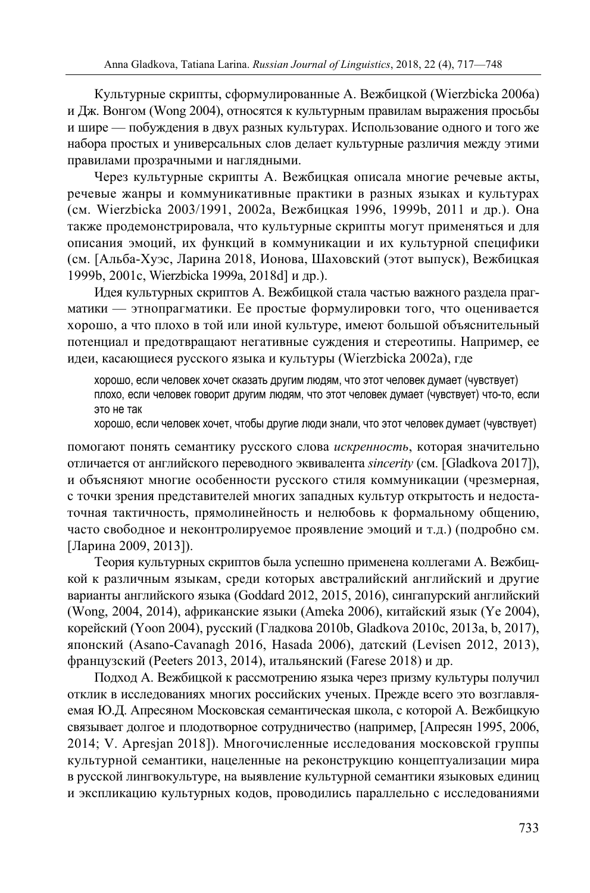Культурные скрипты, сформулированные A. Вежбицкой (Wierzbicka 2006a) и Дж. Вонгом (Wong 2004), относятся к культурным правилам выражения просьбы и шире — побуждения в двух разных культурах. Использование одного и того же набора простых и универсальных слов делает культурные различия между этими правилами прозрачными и наглядными.

Через культурные скрипты A. Вежбицкая описала многие речевые акты, речевые жанры и коммуникативные практики в разных языках и культурах (см. Wierzbicka 2003/1991, 2002а, Вежбицкая 1996, 1999b, 2011 и др.). Она также продемонстрировала, что культурные скрипты могут применяться и для описания эмоций, их функций в коммуникации и их культурной специфики (см. [Альба-Хуэс, Ларина 2018, Ионова, Шаховский (этот выпуск), Вежбицкая 1999b, 2001c, Wierzbicka 1999а, 2018d] и др.).

Идея культурных скриптов А. Вежбицкой стала частью важного раздела прагматики — этнопрагматики. Ее простые формулировки того, что оценивается хорошо, а что плохо в той или иной культуре, имеют большой объяснительный потенциал и предотвращают негативные суждения и стереотипы. Например, ее идеи, касающиеся русского языка и культуры (Wierzbicka 2002а), где

хорошо, если человек хочет сказать другим людям, что этот человек думает (чувствует) плохо, если человек говорит другим людям, что этот человек думает (чувствует) что-то, если это не так

хорошо, если человек хочет, чтобы другие люди знали, что этот человек думает (чувствует)

помогают понять семантику русского слова *искренность*, которая значительно отличается от английского переводного эквивалента *sincerity* (см. [Gladkova 2017]), и объясняют многие особенности русского стиля коммуникации (чрезмерная, с точки зрения представителей многих западных культур открытость и недостаточная тактичность, прямолинейность и нелюбовь к формальному общению, часто свободное и неконтролируемое проявление эмоций и т.д.) (подробно см. [Ларина 2009, 2013]).

Теория культурных скриптов была успешно применена коллегами А. Вежбицкой к различным языкам, среди которых австралийский английский и другие варианты английского языка (Goddard 2012, 2015, 2016), сингапурский английский (Wong, 2004, 2014), африканские языки (Ameka 2006), китайский язык (Ye 2004), корейский (Yoon 2004), русский (Гладкова 2010b, Gladkova 2010c, 2013a, b, 2017), японский (Asano-Cavanagh 2016, Hasada 2006), датский (Levisen 2012, 2013), французский (Peeters 2013, 2014), итальянский (Farese 2018) и др.

Подход А. Вежбицкой к рассмотрению языка через призму культуры получил отклик в исследованиях многих российских ученых. Прежде всего это возглавляемая Ю.Д. Апресяном Московская семантическая школа, с которой A. Вежбицкую связывает долгое и плодотворное сотрудничество (например, [Апресян 1995, 2006, 2014; V. Apresjan 2018]). Многочисленные исследования московской группы культурной семантики, нацеленные на реконструкцию концептуализации мира в русской лингвокультуре, на выявление культурной семантики языковых единиц и экспликацию культурных кодов, проводились параллельно с исследованиями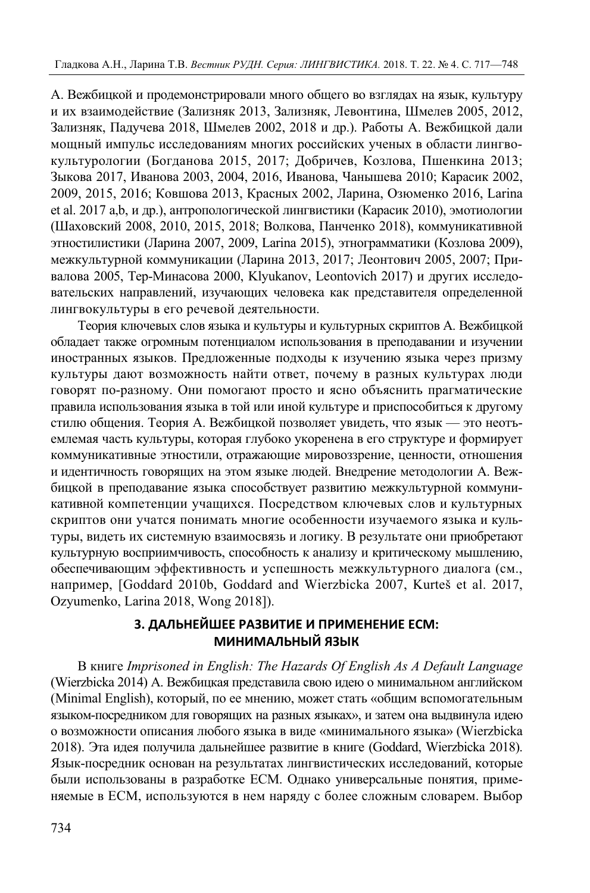A. Вежбицкой и продемонстрировали много общего во взглядах на язык, культуру и их взаимодействие (Зализняк 2013, Зализняк, Левонтина, Шмелев 2005, 2012, Зализняк, Падучева 2018, Шмелев 2002, 2018 и др.). Работы А. Вежбицкой дали мощный импульс исследованиям многих российских ученых в области лингвокультурологии (Богданова 2015, 2017; Добричев, Козлова, Пшенкина 2013; Зыкова 2017, Иванова 2003, 2004, 2016, Иванова, Чанышева 2010; Карасик 2002, 2009, 2015, 2016; Ковшова 2013, Красных 2002, Ларина, Озюменко 2016, Larina et al. 2017 a,b, и др.), антропологической лингвистики (Карасик 2010), эмотиологии (Шаховский 2008, 2010, 2015, 2018; Волкова, Панченко 2018), коммуникативной этностилистики (Ларина 2007, 2009, Larina 2015), этнограмматики (Козлова 2009), межкультурной коммуникации (Ларина 2013, 2017; Леонтович 2005, 2007; Привалова 2005, Тер-Минасова 2000, Klyukanov, Leontovich 2017) и других исследовательских направлений, изучающих человека как представителя определенной лингвокультуры в его речевой деятельности.

Теория ключевых слов языка и культуры и культурных скриптов А. Вежбицкой обладает также огромным потенциалом использования в преподавании и изучении иностранных языков. Предложенные подходы к изучению языка через призму культуры дают возможность найти ответ, почему в разных культурах люди говорят по-разному. Они помогают просто и ясно объяснить прагматические правила использования языка в той или иной культуре и приспособиться к другому стилю общения. Теория А. Вежбицкой позволяет увидеть, что язык — это неотъемлемая часть культуры, которая глубоко укоренена в его структуре и формирует коммуникативные этностили, отражающие мировоззрение, ценности, отношения и идентичность говорящих на этом языке людей. Внедрение методологии A. Вежбицкой в преподавание языка способствует развитию межкультурной коммуникативной компетенции учащихся. Посредством ключевых слов и культурных скриптов они учатся понимать многие особенности изучаемого языка и культуры, видеть их системную взаимосвязь и логику. В результате они приобретают культурную восприимчивость, способность к анализу и критическому мышлению, обеспечивающим эффективность и успешность межкультурного диалога (см., например, [Goddard 2010b, Goddard and Wierzbicka 2007, Kurteš et al. 2017, Ozyumenko, Larina 2018, Wong 2018]).

# **3. ДАЛЬНЕЙШЕЕ РАЗВИТИЕ И ПРИМЕНЕНИЕ ЕСМ: МИНИМАЛЬНЫЙ ЯЗЫК**

В книге *Imprisoned in English: The Hazards Of English As A Default Language*  (Wierzbicka 2014) А. Вежбицкая представила свою идею о минимальном английском (Minimal English), который, по ее мнению, может стать «общим вспомогательным языком-посредником для говорящих на разных языках», и затем она выдвинула идею о возможности описания любого языка в виде «минимального языка» (Wierzbicka 2018). Эта идея получила дальнейшее развитие в книге (Goddard, Wierzbicka 2018). Язык-посредник основан на результатах лингвистических исследований, которые были использованы в разработке ЕСМ. Однако универсальные понятия, применяемые в ЕСМ, используются в нем наряду с более сложным словарем. Выбор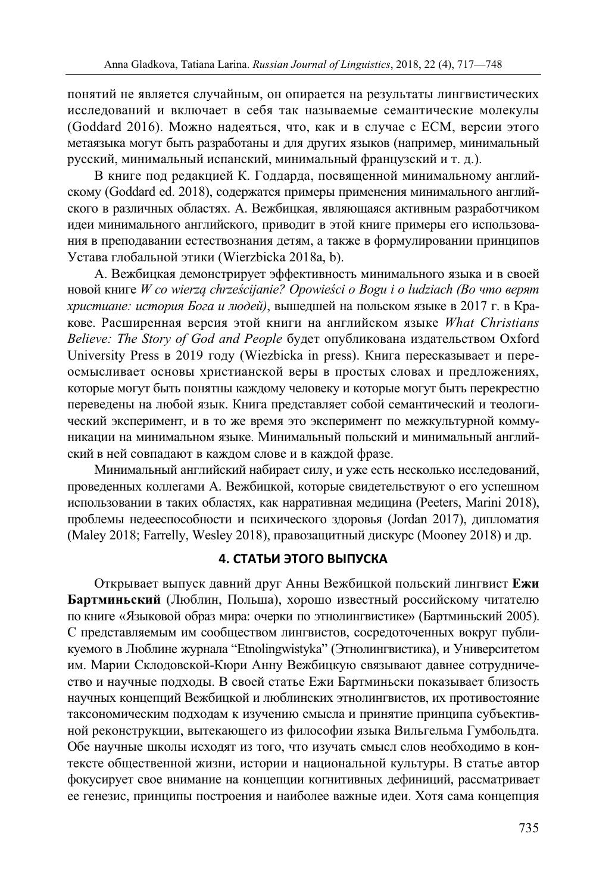понятий не является случайным, он опирается на результаты лингвистических исследований и включает в себя так называемые семантические молекулы (Goddard 2016). Можно надеяться, что, как и в случае с ЕСМ, версии этого метаязыка могут быть разработаны и для других языков (например, минимальный русский, минимальный испанский, минимальный французский и т. д.).

В книге под редакцией К. Годдарда, посвященной минимальному английскому (Goddard ed. 2018), содержатся примеры применения минимального английского в различных областях. A. Вежбицкая, являющаяся активным разработчиком идеи минимального английского, приводит в этой книге примеры его использования в преподавании естествознания детям, а также в формулировании принципов Устава глобальной этики (Wierzbicka 2018a, b).

А. Вежбицкая демонстрирует эффективность минимального языка и в своей новой книге *W co wierzą chrześcijanie? Opowieści o Bogu i o ludziach (Во что верят христиане: история Бога и людей)*, вышедшей на польском языке в 2017 г. в Кракове. Расширенная версия этой книги на английском языке *What Christians Believe: The Story of God and People* будет опубликована издательством Oxford University Press в 2019 году (Wiezbicka in press). Книга пересказывает и переосмысливает основы христианской веры в простых словах и предложениях, которые могут быть понятны каждому человеку и которые могут быть перекрестно переведены на любой язык. Книга представляет собой семантический и теологический эксперимент, и в то же время это эксперимент по межкультурной коммуникации на минимальном языке. Минимальный польский и минимальный английский в ней совпадают в каждом слове и в каждой фразе.

Минимальный английский набирает силу, и уже есть несколько исследований, проведенных коллегами A. Вежбицкой, которые свидетельствуют о его успешном использовании в таких областях, как нарративная медицина (Peeters, Marini 2018), проблемы недееспособности и психического здоровья (Jordan 2017), дипломатия (Maley 2018; Farrelly, Wesley 2018), правозащитный дискурс (Mooney 2018) и др.

# **4. СТАТЬИ ЭТОГО ВЫПУСКА**

Открывает выпуск давний друг Анны Вежбицкой польский лингвист **Ежи Бартминьский** (Люблин, Польша), хорошо известный российскому читателю по книге «Языковой образ мира: очерки по этнолингвистике» (Бартминьский 2005). С представляемым им сообществом лингвистов, сосредоточенных вокруг публикуемого в Люблине журнала "Etnolingwistyka" (Этнолингвистика), и Университетом им. Марии Склодовской-Кюри Анну Вежбицкую связывают давнее сотрудничество и научные подходы. В своей статье Ежи Бартминьски показывает близость научных концепций Вежбицкой и люблинских этнолингвистов, их противостояние таксономическим подходам к изучению смысла и принятие принципа субъективной реконструкции, вытекающего из философии языка Вильгельма Гумбольдта. Обе научные школы исходят из того, что изучать смысл слов необходимо в контексте общественной жизни, истории и национальной культуры. В статье автор фокусирует свое внимание на концепции когнитивных дефиниций, рассматривает ее генезис, принципы построения и наиболее важные идеи. Хотя сама концепция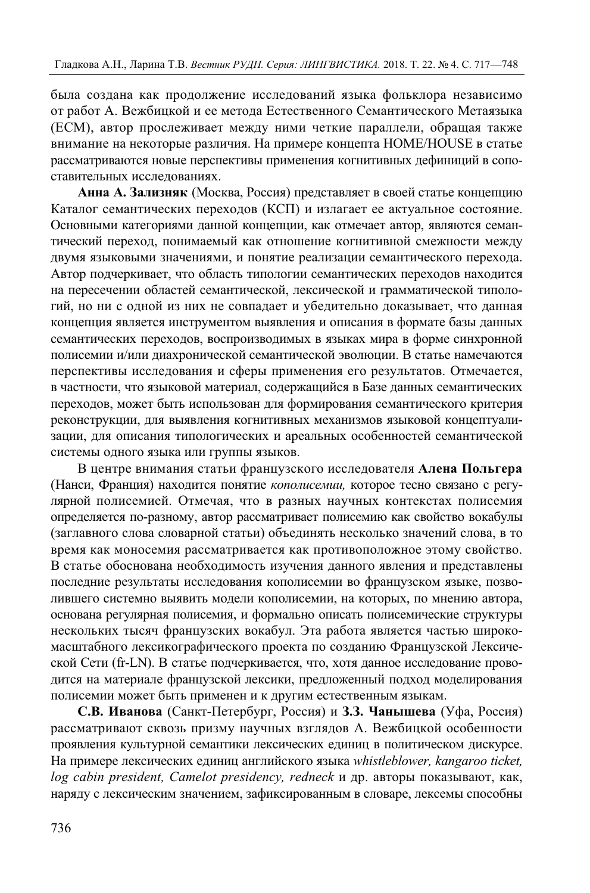была создана как продолжение исследований языка фольклора независимо от работ А. Вежбицкой и ее метода Естественного Семантического Метаязыка (ЕСМ), автор прослеживает между ними четкие параллели, обращая также внимание на некоторые различия. На примере концепта HOME/HOUSE в статье рассматриваются новые перспективы применения когнитивных дефиниций в сопоставительных исследованиях.

**Анна A. Зализняк** (Москва, Россия) представляет в своей статье концепцию Каталог семантических переходов (КСП) и излагает ее актуальное состояние. Основными категориями данной концепции, как отмечает автор, являются семантический переход, понимаемый как отношение когнитивной смежности между двумя языковыми значениями, и понятие реализации семантического перехода. Автор подчеркивает, что область типологии семантических переходов находится на пересечении областей семантической, лексической и грамматической типологий, но ни с одной из них не совпадает и убедительно доказывает, что данная концепция является инструментом выявления и описания в формате базы данных семантических переходов, воспроизводимых в языках мира в форме синхронной полисемии и/или диахронической семантической эволюции. В статье намечаются перспективы исследования и сферы применения его результатов. Отмечается, в частности, что языковой материал, содержащийся в Базе данных семантических переходов, может быть использован для формирования семантического критерия реконструкции, для выявления когнитивных механизмов языковой концептуализации, для описания типологических и ареальных особенностей семантической системы одного языка или группы языков.

В центре внимания статьи французского исследователя **Алена Польгера** (Нанси, Франция) находится понятие *кополисемии,* которое тесно связано с регулярной полисемией. Отмечая, что в разных научных контекстах полисемия определяется по-разному, автор рассматривает полисемию как свойство вокабулы (заглавного слова словарной статьи) объединять несколько значений слова, в то время как моносемия рассматривается как противоположное этому свойство. В статье обоснована необходимость изучения данного явления и представлены последние результаты исследования кополисемии во французском языке, позволившего системно выявить модели кополисемии, на которых, по мнению автора, основана регулярная полисемия, и формально описать полисемические структуры нескольких тысяч французских вокабул. Эта работа является частью широкомасштабного лексикографического проекта по созданию Французской Лексической Сети (fr-LN). В статье подчеркивается, что, хотя данное исследование проводится на материале французской лексики, предложенный подход моделирования полисемии может быть применен и к другим естественным языкам.

**С.В. Иванова** (Санкт-Петербург, Россия) и **З.З. Чанышева** (Уфа, Россия) рассматривают сквозь призму научных взглядов А. Вежбицкой особенности проявления культурной семантики лексических единиц в политическом дискурсе. На примере лексических единиц английского языка *whistleblower, kangaroo ticket, log cabin president, Camelot presidency, redneck* и др. авторы показывают, как, наряду с лексическим значением, зафиксированным в словаре, лексемы способны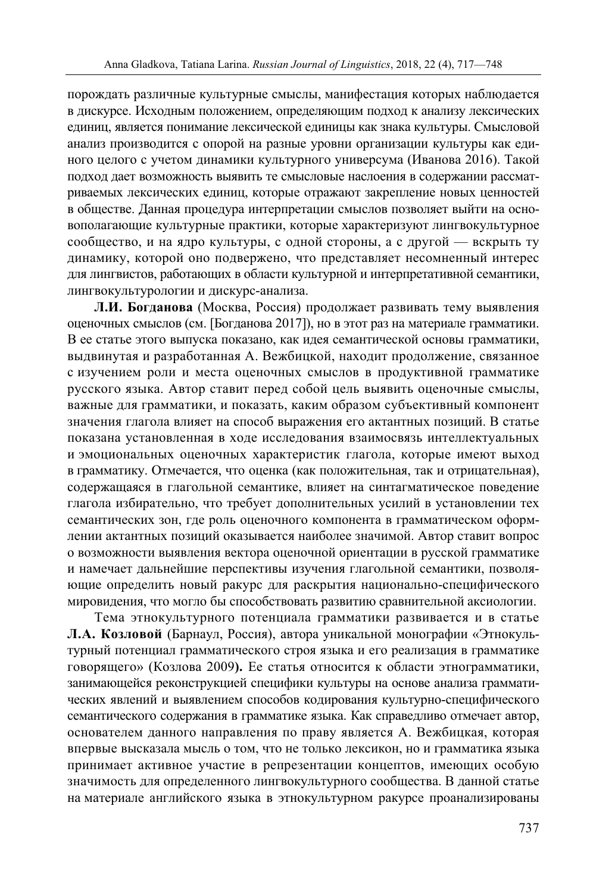порождать различные культурные смыслы, манифестация которых наблюдается в дискурсе. Исходным положением, определяющим подход к анализу лексических единиц, является понимание лексической единицы как знака культуры. Смысловой анализ производится с опорой на разные уровни организации культуры как единого целого с учетом динамики культурного универсума (Иванова 2016). Такой подход дает возможность выявить те смысловые наслоения в содержании рассматриваемых лексических единиц, которые отражают закрепление новых ценностей в обществе. Данная процедура интерпретации смыслов позволяет выйти на основополагающие культурные практики, которые характеризуют лингвокультурное сообщество, и на ядро культуры, с одной стороны, а с другой — вскрыть ту динамику, которой оно подвержено, что представляет несомненный интерес для лингвистов, работающих в области культурной и интерпретативной семантики, лингвокультурологии и дискурс-анализа.

**Л.И. Богданова** (Москва, Россия) продолжает развивать тему выявления оценочных смыслов (см. [Богданова 2017]), но в этот раз на материале грамматики. В ее статье этого выпуска показано, как идея семантической основы грамматики, выдвинутая и разработанная А. Вежбицкой, находит продолжение, связанное с изучением роли и места оценочных смыслов в продуктивной грамматике русского языка. Автор ставит перед собой цель выявить оценочные смыслы, важные для грамматики, и показать, каким образом субъективный компонент значения глагола влияет на способ выражения его актантных позиций. В статье показана установленная в ходе исследования взаимосвязь интеллектуальных и эмоциональных оценочных характеристик глагола, которые имеют выход в грамматику. Отмечается, что оценка (как положительная, так и отрицательная), содержащаяся в глагольной семантике, влияет на синтагматическое поведение глагола избирательно, что требует дополнительных усилий в установлении тех семантических зон, где роль оценочного компонента в грамматическом оформлении актантных позиций оказывается наиболее значимой. Автор ставит вопрос о возможности выявления вектора оценочной ориентации в русской грамматике и намечает дальнейшие перспективы изучения глагольной семантики, позволяющие определить новый ракурс для раскрытия национально-специфического мировидения, что могло бы способствовать развитию сравнительной аксиологии.

Тема этнокультурного потенциала грамматики развивается и в статье **Л.А. Козловой** (Барнаул, Россия), автора уникальной монографии «Этнокультурный потенциал грамматического строя языка и его реализация в грамматике говорящего» (Козлова 2009**).** Ее статья относится к области этнограмматики, занимающейся реконструкцией специфики культуры на основе анализа грамматических явлений и выявлением способов кодирования культурно-специфического семантического содержания в грамматике языка. Как справедливо отмечает автор, основателем данного направления по праву является А. Вежбицкая, которая впервые высказала мысль о том, что не только лексикон, но и грамматика языка принимает активное участие в репрезентации концептов, имеющих особую значимость для определенного лингвокультурного сообщества. В данной статье на материале английского языка в этнокультурном ракурсе проанализированы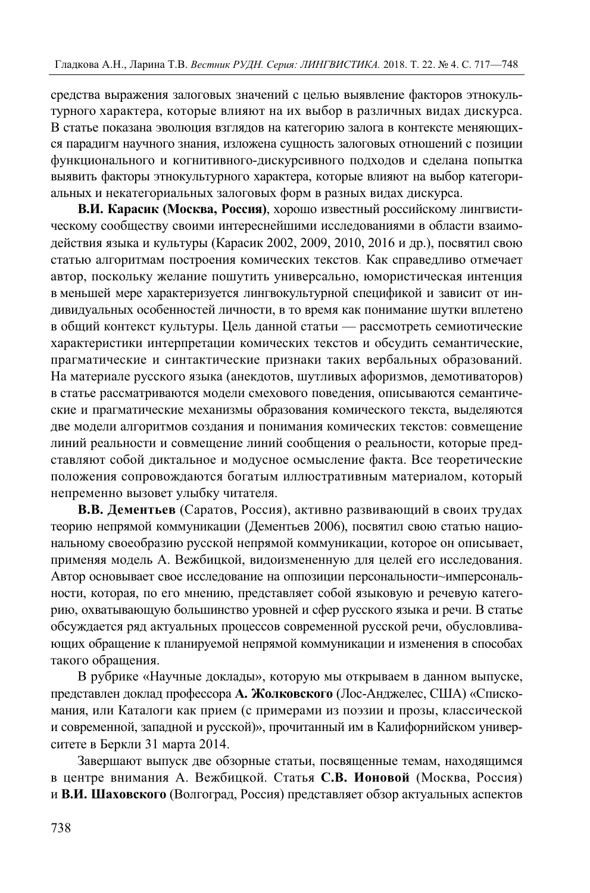средства выражения залоговых значений с целью выявление факторов этнокультурного характера, которые влияют на их выбор в различных видах дискурса. В статье показана эволюция взглядов на категорию залога в контексте меняющихся парадигм научного знания, изложена сущность залоговых отношений с позиции функционального и когнитивного-дискурсивного подходов и сделана попытка выявить факторы этнокультурного характера, которые влияют на выбор категориальных и некатегориальных залоговых форм в разных видах дискурса.

**В.И. Карасик (Москва, Россия)**, хорошо известный российскому лингвистическому сообществу своими интереснейшими исследованиями в области взаимодействия языка и культуры (Карасик 2002, 2009, 2010, 2016 и др.), посвятил свою статью алгоритмам построения комических текстов. Как справедливо отмечает автор, поскольку желание пошутить универсально, юмористическая интенция в меньшей мере характеризуется лингвокультурной спецификой и зависит от индивидуальных особенностей личности, в то время как понимание шутки вплетено в общий контекст культуры. Цель данной статьи — рассмотреть семиотические характеристики интерпретации комических текстов и обсудить семантические, прагматические и синтактические признаки таких вербальных образований. На материале русского языка (анекдотов, шутливых афоризмов, демотиваторов) в статье рассматриваются модели смехового поведения, описываются семантические и прагматические механизмы образования комического текста, выделяются две модели алгоритмов создания и понимания комических текстов: совмещение линий реальности и совмещение линий сообщения о реальности, которые представляют собой диктальное и модусное осмысление факта. Все теоретические положения сопровождаются богатым иллюстративным материалом, который непременно вызовет улыбку читателя.

**В.В. Дементьев** (Саратов, Россия), активно развивающий в своих трудах теорию непрямой коммуникации (Дементьев 2006), посвятил свою статью национальному своеобразию русской непрямой коммуникации, которое он описывает, применяя модель А. Вежбицкой, видоизмененную для целей его исследования. Автор основывает свое исследование на оппозиции персональности~имперсональности, которая, по его мнению, представляет собой языковую и речевую категорию, охватывающую большинство уровней и сфер русского языка и речи. В статье обсуждается ряд актуальных процессов современной русской речи, обусловливающих обращение к планируемой непрямой коммуникации и изменения в способах такого обращения.

В рубрике «Научные доклады», которую мы открываем в данном выпуске, представлен доклад профессора **А. Жолковского** (Лос-Анджелес, США) «Спискомания, или Каталоги как прием (с примерами из поэзии и прозы, классической и современной, западной и русской)», прочитанный им в Калифорнийском университете в Беркли 31 марта 2014.

Завершают выпуск две обзорные статьи, посвященные темам, находящимся в центре внимания А. Вежбицкой. Статья **С.В. Ионовой** (Москва, Россия) и **В.И. Шаховского** (Волгоград, Россия) представляет обзор актуальных аспектов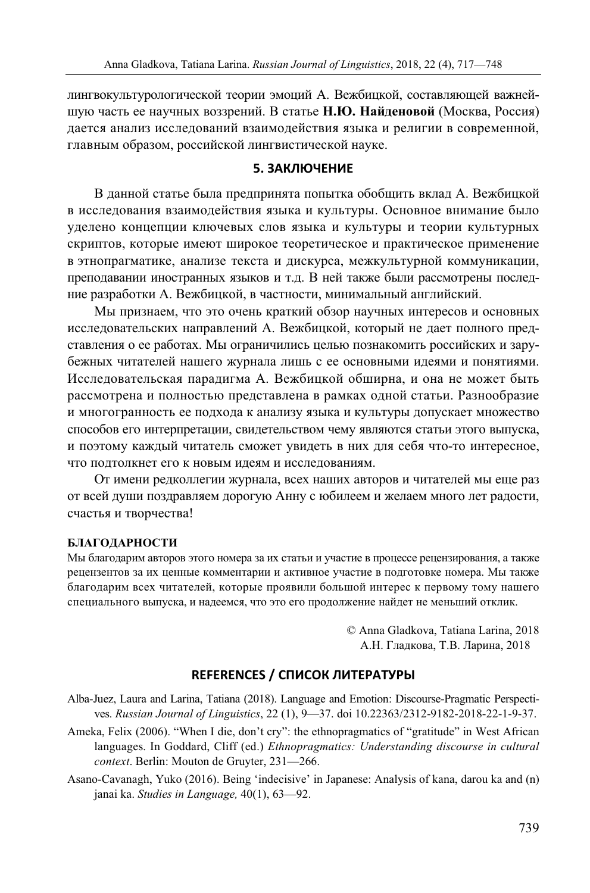лингвокультурологической теории эмоций А. Вежбицкой, составляющей важнейшую часть ее научных воззрений. В статье **Н.Ю. Найденовой** (Москва, Россия) дается анализ исследований взаимодействия языка и религии в современной, главным образом, российской лингвистической науке.

### **5. ЗАКЛЮЧЕНИЕ**

В данной статье была предпринята попытка обобщить вклад А. Вежбицкой в исследования взаимодействия языка и культуры. Основное внимание было уделено концепции ключевых слов языка и культуры и теории культурных скриптов, которые имеют широкое теоретическое и практическое применение в этнопрагматике, анализе текста и дискурса, межкультурной коммуникации, преподавании иностранных языков и т.д. В ней также были рассмотрены последние разработки А. Вежбицкой, в частности, минимальный английский.

Мы признаем, что это очень краткий обзор научных интересов и основных исследовательских направлений А. Вежбицкой, который не дает полного представления о ее работах. Мы ограничились целью познакомить российских и зарубежных читателей нашего журнала лишь с ее основными идеями и понятиями. Исследовательская парадигма А. Вежбицкой обширна, и она не может быть рассмотрена и полностью представлена в рамках одной статьи. Разнообразие и многогранность ее подхода к анализу языка и культуры допускает множество способов его интерпретации, свидетельством чему являются статьи этого выпуска, и поэтому каждый читатель сможет увидеть в них для себя что-то интересное, что подтолкнет его к новым идеям и исследованиям.

От имени редколлегии журнала, всех наших авторов и читателей мы еще раз от всей души поздравляем дорогую Анну с юбилеем и желаем много лет радости, счастья и творчества!

#### **БЛАГОДАРНОСТИ**

Мы благодарим авторов этого номера за их статьи и участие в процессе рецензирования, а также рецензентов за их ценные комментарии и активное участие в подготовке номера. Мы также благодарим всех читателей, которые проявили большой интерес к первому тому нашего специального выпуска, и надеемся, что это его продолжение найдет не меньший отклик.

> © Anna Gladkova, Tatiana Larina, 2018 А.Н. Гладкова, Т.В. Ларина, 2018

# **REFERENCES / СПИСОК ЛИТЕРАТУРЫ**

- Alba-Juez, Laura and Larina, Tatiana (2018). Language and Emotion: Discourse-Pragmatic Perspectives. *Russian Journal of Linguistics*, 22 (1), 9—37. doi 10.22363/2312-9182-2018-22-1-9-37.
- Ameka, Felix (2006). "When I die, don't cry": the ethnopragmatics of "gratitude" in West African languages. In Goddard, Cliff (ed.) *Ethnopragmatics: Understanding discourse in cultural context*. Berlin: Mouton de Gruyter, 231—266.

Asano-Cavanagh, Yuko (2016). Being 'indecisive' in Japanese: Analysis of kana, darou ka and (n) janai ka. *Studies in Language,* 40(1), 63—92.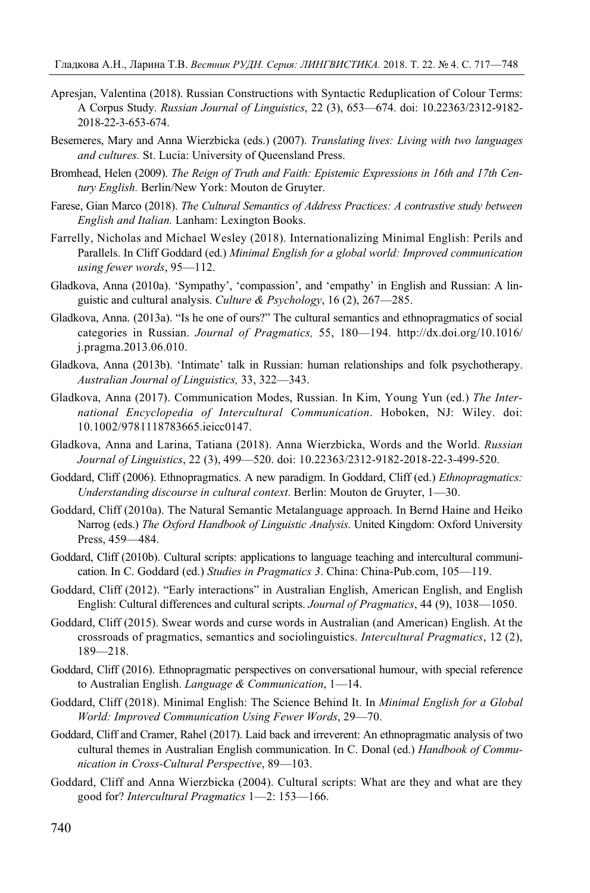- Apresjan, Valentina (2018). Russian Constructions with Syntactic Reduplication of Colour Terms: A Corpus Study. *Russian Journal of Linguistics*, 22 (3), 653—674. doi: 10.22363/2312-9182- 2018-22-3-653-674.
- Besemeres, Mary and Anna Wierzbicka (eds.) (2007). *Translating lives: Living with two languages and cultures.* St. Lucia: University of Queensland Press.
- Bromhead, Helen (2009). *The Reign of Truth and Faith: Epistemic Expressions in 16th and 17th Century English.* Berlin/New York: Mouton de Gruyter.
- Farese, Gian Marco (2018). *The Cultural Semantics of Address Practices: A contrastive study between English and Italian.* Lanham: Lexington Books.
- Farrelly, Nicholas and Michael Wesley (2018). Internationalizing Minimal English: Perils and Parallels. In Cliff Goddard (ed.) *Minimal English for a global world: Improved communication using fewer words*, 95—112.
- Gladkova, Anna (2010а). 'Sympathy', 'compassion', and 'empathy' in English and Russian: A linguistic and cultural analysis. *Culture & Psychology*, 16 (2), 267—285.
- Gladkova, Anna. (2013a). "Is he one of ours?" The cultural semantics and ethnopragmatics of social categories in Russian. *Journal of Pragmatics,* 55, 180—194. http://dx.doi.org/10.1016/ j.pragma.2013.06.010.
- Gladkova, Anna (2013b). 'Intimate' talk in Russian: human relationships and folk psychotherapy. *Australian Journal of Linguistics,* 33, 322—343.
- Gladkova, Anna (2017). Communication Modes, Russian. In Kim, Young Yun (ed.) *The International Encyclopedia of Intercultural Communication*. Hoboken, NJ: Wiley. doi: 10.1002/9781118783665.ieicc0147.
- Gladkova, Anna and Larina, Tatiana (2018). Anna Wierzbicka, Words and the World. *Russian Journal of Linguistics*, 22 (3), 499—520. doi: 10.22363/2312-9182-2018-22-3-499-520.
- Goddard, Cliff (2006). Ethnopragmatics. A new paradigm. In Goddard, Cliff (ed.) *Ethnopragmatics: Understanding discourse in cultural context*. Berlin: Mouton de Gruyter, 1—30.
- Goddard, Cliff (2010a). The Natural Semantic Metalanguage approach. In Bernd Haine and Heiko Narrog (eds.) *The Oxford Handbook of Linguistic Analysis*. United Kingdom: Oxford University Press, 459—484.
- Goddard, Cliff (2010b). Cultural scripts: applications to language teaching and intercultural communication. In C. Goddard (ed.) *Studies in Pragmatics 3*. China: China-Pub.com, 105—119.
- Goddard, Cliff (2012). "Early interactions" in Australian English, American English, and English English: Cultural differences and cultural scripts. *Journal of Pragmatics*, 44 (9), 1038—1050.
- Goddard, Cliff (2015). Swear words and curse words in Australian (and American) English. At the crossroads of pragmatics, semantics and sociolinguistics. *Intercultural Pragmatics*, 12 (2), 189—218.
- Goddard, Cliff (2016). Ethnopragmatic perspectives on conversational humour, with special reference to Australian English. *Language & Communication*, 1—14.
- Goddard, Cliff (2018). Minimal English: The Science Behind It. In *Minimal English for a Global World: Improved Communication Using Fewer Words*, 29—70.
- Goddard, Cliff and Cramer, Rahel (2017). Laid back and irreverent: An ethnopragmatic analysis of two cultural themes in Australian English communication. In C. Donal (ed.) *Handbook of Communication in Cross-Cultural Perspective*, 89—103.
- Goddard, Cliff and Anna Wierzbicka (2004). Cultural scripts: What are they and what are they good for? *Intercultural Pragmatics* 1—2: 153—166.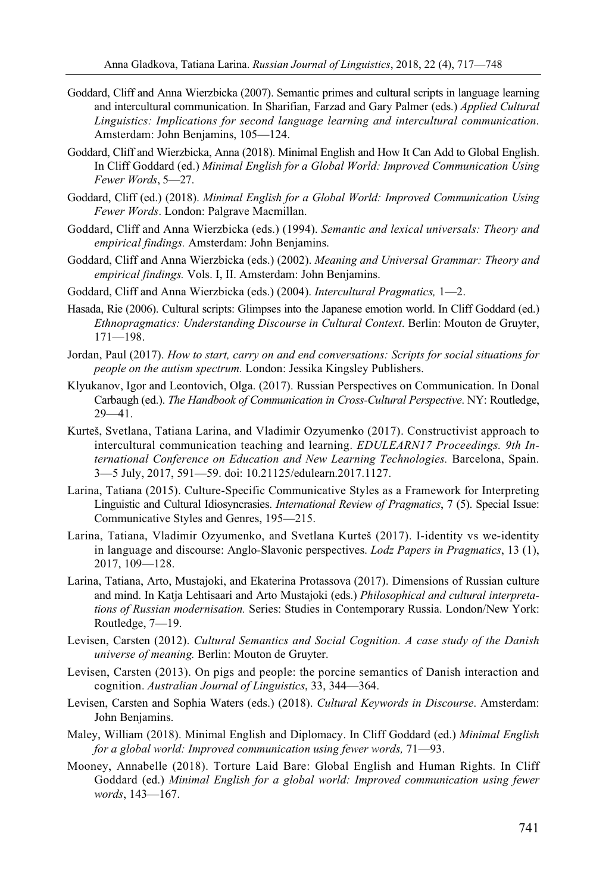- Goddard, Cliff and Anna Wierzbicka (2007). Semantic primes and cultural scripts in language learning and intercultural communication. In Sharifian, Farzad and Gary Palmer (eds.) *Applied Cultural Linguistics: Implications for second language learning and intercultural communication*. Amsterdam: John Benjamins, 105—124.
- Goddard, Cliff and Wierzbicka, Anna (2018). Minimal English and How It Can Add to Global English. In Cliff Goddard (ed.) *Minimal English for a Global World: Improved Communication Using Fewer Words*, 5—27.
- Goddard, Cliff (ed.) (2018). *Minimal English for a Global World: Improved Communication Using Fewer Words*. London: Palgrave Macmillan.
- Goddard, Cliff and Anna Wierzbicka (eds.) (1994). *Semantic and lexical universals: Theory and empirical findings.* Amsterdam: John Benjamins.
- Goddard, Cliff and Anna Wierzbicka (eds.) (2002). *Meaning and Universal Grammar: Theory and empirical findings.* Vols. I, II. Amsterdam: John Benjamins.
- Goddard, Cliff and Anna Wierzbicka (eds.) (2004). *Intercultural Pragmatics,* 1—2.
- Hasada, Rie (2006). Cultural scripts: Glimpses into the Japanese emotion world. In Cliff Goddard (ed.) *Ethnopragmatics: Understanding Discourse in Cultural Context*. Berlin: Mouton de Gruyter, 171—198.
- Jordan, Paul (2017). *How to start, carry on and end conversations: Scripts for social situations for people on the autism spectrum.* London: Jessika Kingsley Publishers.
- Klyukanov, Igor and Leontovich, Olga. (2017). Russian Perspectives on Communication. In Donal Carbaugh (ed.). *The Handbook of Communication in Cross-Cultural Perspective*. NY: Routledge,  $29 - 41$ .
- Kurteš, Svetlana, Tatiana Larina, and Vladimir Ozyumenko (2017). Constructivist approach to intercultural communication teaching and learning. *EDULEARN17 Proceedings. 9th International Conference on Education and New Learning Technologies.* Barcelona, Spain. 3—5 July, 2017, 591—59. doi: 10.21125/edulearn.2017.1127.
- Larina, Tatiana (2015). Culture-Specific Communicative Styles as a Framework for Interpreting Linguistic and Cultural Idiosyncrasies. *International Review of Pragmatics*, 7 (5). Special Issue: Communicative Styles and Genres, 195—215.
- Larina, Tatiana, Vladimir Ozyumenko, and Svetlana Kurteš (2017). I-identity vs we-identity in language and discourse: Anglo-Slavonic perspectives. *Lodz Papers in Pragmatics*, 13 (1), 2017, 109—128.
- Larina, Tatiana, Arto, Mustajoki, and Ekaterina Protassova (2017). Dimensions of Russian culture and mind. In Katja Lehtisaari and Arto Mustajoki (eds.) *Philosophical and cultural interpretations of Russian modernisation.* Series: Studies in Contemporary Russia. London/New York: Routledge, 7—19.
- Levisen, Carsten (2012). *Cultural Semantics and Social Cognition. A case study of the Danish universe of meaning.* Berlin: Mouton de Gruyter.
- Levisen, Carsten (2013). On pigs and people: the porcine semantics of Danish interaction and cognition. *Australian Journal of Linguistics*, 33, 344—364.
- Levisen, Carsten and Sophia Waters (eds.) (2018). *Cultural Keywords in Discourse*. Amsterdam: John Benjamins.
- Maley, William (2018). Minimal English and Diplomacy. In Cliff Goddard (ed.) *Minimal English for a global world: Improved communication using fewer words,* 71—93.
- Mooney, Annabelle (2018). Torture Laid Bare: Global English and Human Rights. In Cliff Goddard (ed.) *Minimal English for a global world: Improved communication using fewer words*, 143—167.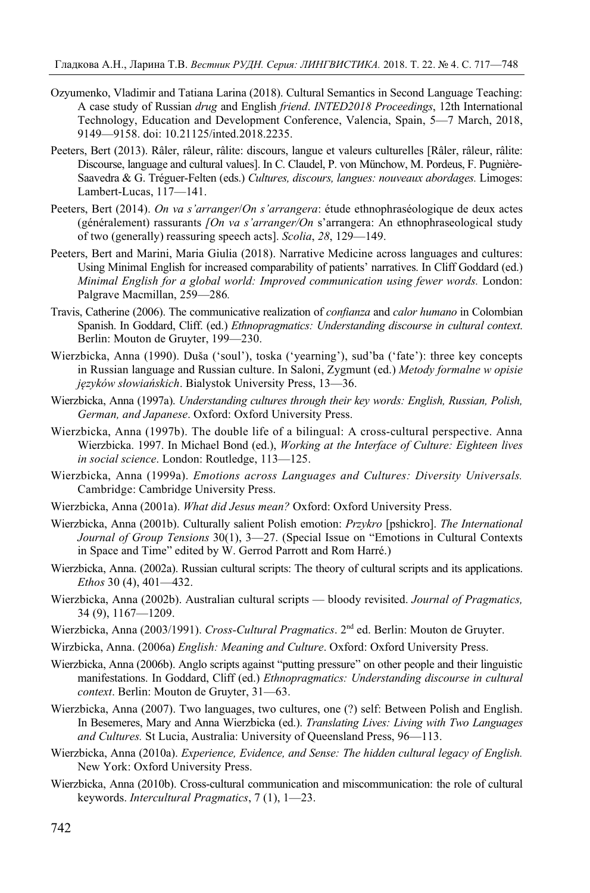- Ozyumenko, Vladimir and Tatiana Larina (2018). Cultural Semantics in Second Language Teaching: A case study of Russian *drug* and English *friend*. *INTED2018 Proceedings*, 12th International Technology, Education and Development Conference, Valencia, Spain, 5—7 March, 2018, 9149—9158. doi: 10.21125/inted.2018.2235.
- Peeters, Bert (2013). Râler, râleur, râlite: discours, langue et valeurs culturelles [Râler, râleur, râlite: Discourse, language and cultural values]. In C. Claudel, P. von Münchow, M. Pordeus, F. Pugnière-Saavedra & G. Tréguer-Felten (eds.) *Cultures, discours, langues: nouveaux abordages.* Limoges: Lambert-Lucas, 117—141.
- Peeters, Bert (2014). *On va s'arranger*/*On s'arrangera*: étude ethnophraséologique de deux actes (généralement) rassurants *[On va s'arranger/On* s'arrangera: An ethnophraseological study of two (generally) reassuring speech acts]. *Scolia*, *28*, 129—149.
- Peeters, Bert and Marini, Maria Giulia (2018). Narrative Medicine across languages and cultures: Using Minimal English for increased comparability of patients' narratives. In Cliff Goddard (ed.) *Minimal English for a global world: Improved communication using fewer words.* London: Palgrave Macmillan, 259—286*.*
- Travis, Catherine (2006). The communicative realization of *confianza* and *calor humano* in Colombian Spanish. In Goddard, Cliff. (ed.) *Ethnopragmatics: Understanding discourse in cultural context*. Berlin: Mouton de Gruyter, 199—230.
- Wierzbicka, Anna (1990). Duša ('soul'), toska ('yearning'), sud'ba ('fate'): three key concepts in Russian language and Russian culture. In Saloni, Zygmunt (ed.) *Metody formalne w opisie języków słowiańskich*. Bialystok University Press, 13—36.
- Wierzbicka, Anna (1997a). *Understanding cultures through their key words: English, Russian, Polish, German, and Japanese*. Oxford: Oxford University Press.
- Wierzbicka, Anna (1997b). The double life of a bilingual: A cross-cultural perspective. Anna Wierzbicka. 1997. In Michael Bond (ed.), *Working at the Interface of Culture: Eighteen lives in social science*. London: Routledge, 113—125.
- Wierzbicka, Anna (1999а). *Emotions across Languages and Cultures: Diversity Universals.*  Cambridge: Cambridge University Press.
- Wierzbicka, Anna (2001a). *What did Jesus mean?* Oxford: Oxford University Press.
- Wierzbicka, Anna (2001b). Culturally salient Polish emotion: *Przykro* [pshickro]. *The International Journal of Group Tensions* 30(1), 3—27. (Special Issue on "Emotions in Cultural Contexts in Space and Time" edited by W. Gerrod Parrott and Rom Harré.)
- Wierzbicka, Anna. (2002a). Russian cultural scripts: The theory of cultural scripts and its applications. *Ethos* 30 (4), 401—432.
- Wierzbicka, Anna (2002b). Australian cultural scripts bloody revisited. *Journal of Pragmatics,* 34 (9), 1167—1209.
- Wierzbicka, Anna (2003/1991). *Cross-Cultural Pragmatics*. 2nd ed. Berlin: Mouton de Gruyter.
- Wirzbicka, Anna. (2006a) *English: Meaning and Culture*. Oxford: Oxford University Press.
- Wierzbicka, Anna (2006b). Anglo scripts against "putting pressure" on other people and their linguistic manifestations. In Goddard, Cliff (ed.) *Ethnopragmatics: Understanding discourse in cultural context*. Berlin: Mouton de Gruyter, 31—63.
- Wierzbicka, Anna (2007). Two languages, two cultures, one (?) self: Between Polish and English. In Besemeres, Mary and Anna Wierzbicka (ed.). *Translating Lives: Living with Two Languages and Cultures.* St Lucia, Australia: University of Queensland Press, 96—113.
- Wierzbicka, Anna (2010a). *Experience, Evidence, and Sense: The hidden cultural legacy of English.* New York: Oxford University Press.
- Wierzbicka, Anna (2010b). Cross-cultural communication and miscommunication: the role of cultural keywords. *Intercultural Pragmatics*, 7 (1), 1—23.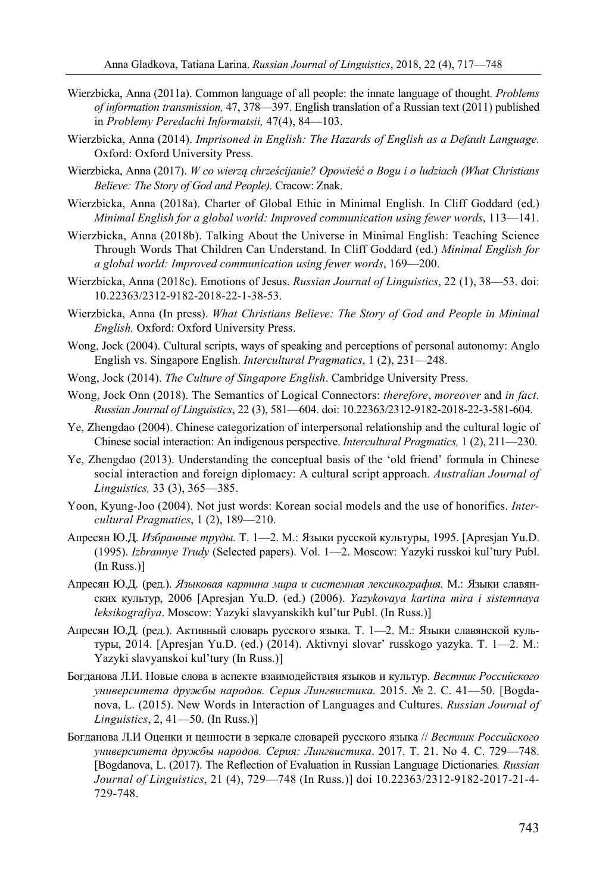- Wierzbicka, Anna (2011a). Common language of all people: the innate language of thought. *Problems of information transmission,* 47, 378—397. English translation of a Russian text (2011) published in *Problemy Peredachi Informatsii,* 47(4), 84—103.
- Wierzbicka, Anna (2014). *Imprisoned in English: The Hazards of English as a Default Language.* Oxford: Oxford University Press.
- Wierzbicka, Anna (2017). *W co wierzą chrześcijanie? Opowieść o Bogu i o ludziach (What Christians Believe: The Story of God and People).* Cracow: Znak.
- Wierzbicka, Anna (2018a). Charter of Global Ethic in Minimal English. In Cliff Goddard (ed.) *Minimal English for a global world: Improved communication using fewer words*, 113—141.
- Wierzbicka, Anna (2018b). Talking About the Universe in Minimal English: Teaching Science Through Words That Children Can Understand. In Cliff Goddard (ed.) *Minimal English for a global world: Improved communication using fewer words*, 169—200.
- Wierzbicka, Anna (2018c). Emotions of Jesus. *Russian Journal of Linguistics*, 22 (1), 38—53. doi: 10.22363/2312-9182-2018-22-1-38-53.
- Wierzbicka, Anna (In press). *What Christians Believe: The Story of God and People in Minimal English.* Oxford: Oxford University Press.
- Wong, Jock (2004). Cultural scripts, ways of speaking and perceptions of personal autonomy: Anglo English vs. Singapore English. *Intercultural Pragmatics*, 1 (2), 231—248.
- Wong, Jock (2014). *The Culture of Singapore English*. Cambridge University Press.
- Wong, Jock Onn (2018). The Semantics of Logical Connectors: *therefore*, *moreover* and *in fact*. *Russian Journal of Linguistics*, 22 (3), 581—604. doi: 10.22363/2312-9182-2018-22-3-581-604.
- Ye, Zhengdao (2004). Chinese categorization of interpersonal relationship and the cultural logic of Chinese social interaction: An indigenous perspective. *Intercultural Pragmatics,* 1 (2), 211—230.
- Ye, Zhengdao (2013). Understanding the conceptual basis of the 'old friend' formula in Chinese social interaction and foreign diplomacy: A cultural script approach. *Australian Journal of Linguistics,* 33 (3), 365—385.
- Yoon, Kyung-Joo (2004). Not just words: Korean social models and the use of honorifics. *Intercultural Pragmatics*, 1 (2), 189—210.
- Апресян Ю.Д. *Избранные труды.* Т. 1—2. М.: Языки русской культуры, 1995. [Apresjan Yu.D. (1995). *Izbrannye Trudy* (Selected papers). Vol. 1—2. Moscow: Yazyki russkoi kul'tury Publ. (In Russ.)]
- Апресян Ю.Д. (ред.). *Языковая картина мира и системная лексикография.* М.: Языки славянских культур, 2006 [Apresjan Yu.D. (ed.) (2006). *Yazykovaya kartina mira i sistemnaya leksikografiya*. Moscow: Yazyki slavyanskikh kul'tur Publ. (In Russ.)]
- Апресян Ю.Д. (ред.). Активный словарь русского языка. Т. 1—2. М.: Языки славянской культуры, 2014. [Apresjan Yu.D. (ed.) (2014). Aktivnyi slovar' russkogo yazyka. T. 1—2. M.: Yazyki slavyanskoi kul'tury (In Russ.)]
- Богданова Л.И. Новые слова в аспекте взаимодействия языков и культур. *Вестник Российского университета дружбы народов. Серия Лингвистика.* 2015. № 2. С. 41—50. [Bogdanova, L. (2015). New Words in Interaction of Languages and Cultures. *Russian Journal of Linguistics*, 2, 41—50. (In Russ.)]
- Богданова Л.И Оценки и ценности в зеркале словарей русского языка // *Вестник Российского университета дружбы народов. Серия: Лингвистика*. 2017. Т. 21. No 4. С. 729—748. [Bogdanova, L. (2017). The Reflection of Evaluation in Russian Language Dictionaries*. Russian Journal of Linguistics*, 21 (4), 729—748 (In Russ.)] doi 10.22363/2312-9182-2017-21-4- 729-748.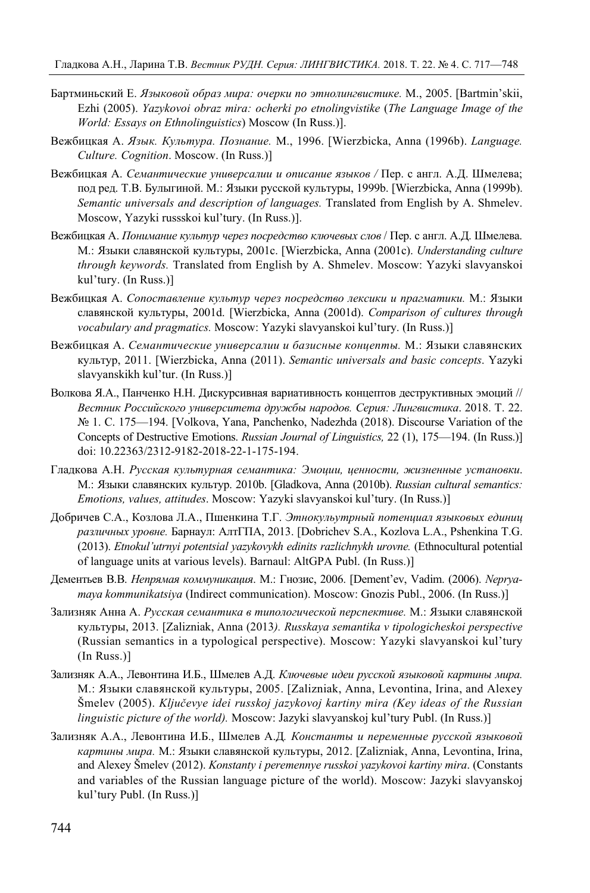- Бартминьский Е. *Языковой образ мира: очерки по этнолингвистике.* М., 2005. [Bartmin'skii, Ezhi (2005). *Yazykovoi obraz mira: ocherki po etnolingvistike* (*The Language Image of the World: Essays on Ethnolinguistics*) Moscow (In Russ.)].
- Вежбицкая А. *Язык. Культура. Познание.* М., 1996. [Wierzbicka, Anna (1996b). *Language. Culture. Cognition*. Moscow. (In Russ.)]
- Вежбицкая А. *Семантические универсалии и описание языков /* Пер. с англ. А.Д. Шмелева; под ред. Т.В. Булыгиной. М.: Языки русской культуры, 1999b. [Wierzbicka, Anna (1999b). *Semantic universals and description of languages.* Translated from English by A. Shmelev. Moscow, Yazyki russskoi kul'tury. (In Russ.)].
- Вежбицкая А. *Понимание культур через посредство ключевых слов* / Пер. с англ. А.Д. Шмелева. М.: Языки славянской культуры, 2001c. [Wierzbicka, Anna (2001c). *Understanding culture through keywords.* Translated from English by A. Shmelev. Moscow: Yazyki slavyanskoi kul'tury. (In Russ.)]
- Вежбицкая А. *Сопоставление культур через посредство лексики и прагматики.* М.: Языки славянской культуры, 2001d. [Wierzbicka, Anna (2001d). *Comparison of cultures through vocabulary and pragmatics.* Moscow: Yazyki slavyanskoi kul'tury. (In Russ.)]
- Вежбицкая А. *Семантические универсалии и базисные концепты.* М.: Языки славянских культур, 2011. [Wierzbicka, Anna (2011). *Semantic universals and basic concepts*. Yazyki slavyanskikh kul'tur. (In Russ.)]
- Волкова Я.А., Панченко Н.Н. Дискурсивная вариативность концептов деструктивных эмоций // *Вестник Российского университета дружбы народов. Серия: Лингвистика*. 2018. Т. 22. № 1. С. 175—194. [Volkova, Yana, Panchenko, Nadezhda (2018). Discourse Variation of the Concepts of Destructive Emotions. *Russian Journal of Linguistics,* 22 (1), 175—194. (In Russ.)] doi: 10.22363/2312-9182-2018-22-1-175-194.
- Гладкова А.Н. *Русская культурная семантика: Эмоции, ценности, жизненные установки*. М.: Языки славянских культур. 2010b. [Gladkova, Anna (2010b). *Russian cultural semantics: Emotions, values, attitudes*. Moscow: Yazyki slavyanskoi kul'tury. (In Russ.)]
- Добричев С.А., Козлова Л.А., Пшенкина Т.Г. *Этнокульутрный потенциал языковых единиц различных уровне.* Барнаул: АлтГПА, 2013. [Dobrichev S.A., Kozlova L.A., Pshenkina T.G. (2013). *Etnokul'utrnyi potentsial yazykovykh edinits razlichnykh urovne.* (Ethnocultural potential of language units at various levels). Barnaul: AltGPA Publ. (In Russ.)]
- Дементьев В.В. *Непрямая коммуникация*. М.: Гнозис, 2006. [Dement'ev, Vadim. (2006). *Nepryamaya kommunikatsiya* (Indirect communication). Moscow: Gnozis Publ., 2006. (In Russ.)]
- Зализняк Анна А. *Русская семантика в типологической перспективе.* М.: Языки славянской культуры, 2013. [Zalizniak, Anna (2013*). Russkaya semantika v tipologicheskoi perspective* (Russian semantics in a typological perspective). Moscow: Yazyki slavyanskoi kul'tury (In Russ.)]
- Зализняк А.А., Левонтина И.Б., Шмелев А.Д. *Ключевые идеи русской языковой картины мира.*  М.: Языки славянской культуры, 2005. [Zalizniak, Anna, Levontina, Irina, and Alexey Šmelev (2005). *Ključevye idei russkoj jazykovoj kartiny mira (Key ideas of the Russian linguistic picture of the world).* Moscow: Jazyki slavyanskoj kul'tury Publ. (In Russ.)]
- Зализняк А.А., Левонтина И.Б., Шмелев А.Д*. Константы и переменные русской языковой картины мира.* М.: Языки славянской культуры, 2012. [Zalizniak, Anna, Levontina, Irina, and Alexey Šmelev (2012). *Konstanty i peremennye russkoi yazykovoi kartiny mira*. (Constants and variables of the Russian language picture of the world). Moscow: Jazyki slavyanskoj kul'tury Publ. (In Russ.)]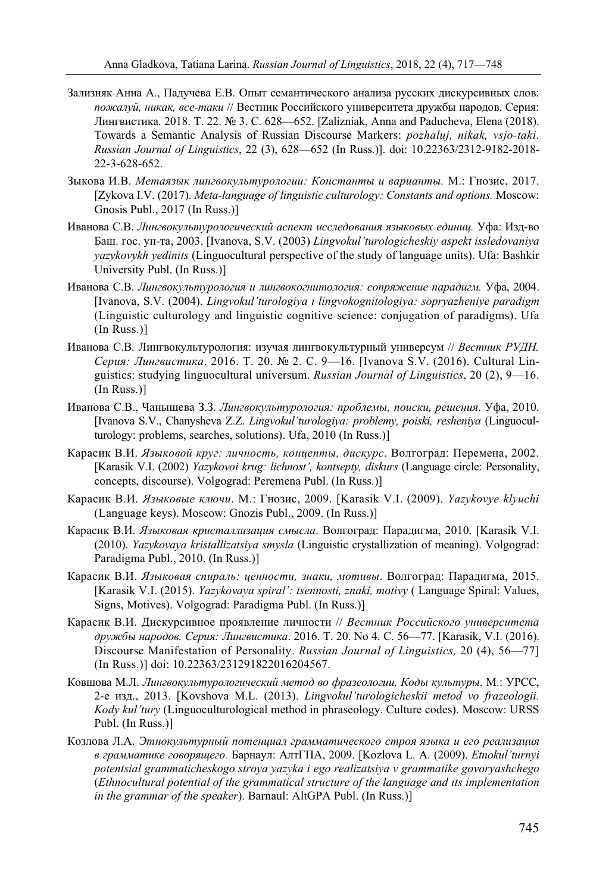- Зализняк Анна А., Падучева Е.В. Опыт семантического анализа русских дискурсивных слов: *пожалуй, никак, все-таки* // Вестник Российского университета дружбы народов. Серия: Лингвистика. 2018. Т. 22. № 3. С. 628—652. [Zalizniak, Anna and Paducheva, Elena (2018). Towards a Semantic Analysis of Russian Discourse Markers: *pozhaluj, nikak, vsjo-taki*. *Russian Journal of Linguistics*, 22 (3), 628—652 (In Russ.)]. doi: 10.22363/2312-9182-2018- 22-3-628-652.
- Зыкова И.В. *Метаязык лингвокультурологии: Константы и варианты.* М.: Гнозис, 2017. [Zykova I.V. (2017). *Meta-language of linguistic culturology: Constants and options.* Moscow: Gnosis Publ., 2017 (In Russ.)]
- Иванова С.В. *Лингвокультурологический аспект исследования языковых единиц.* Уфа: Изд-во Баш. гос. ун-та, 2003. [Ivanova, S.V. (2003) *Lingvokul'turologicheskiy aspekt issledovaniya yazykovykh yedinits* (Linguocultural perspective of the study of language units). Ufa: Bashkir University Publ. (In Russ.)]
- Иванова С.В. *Лингвокультурология и лингвокогнитология: сопряжение парадигм.* Уфа, 2004. [Ivanova, S.V. (2004). *Lingvokul'turologiya i lingvokognitologiya: sopryazheniye paradigm* (Linguistic culturology and linguistic cognitive science: conjugation of paradigms). Ufa (In Russ.)]
- Иванова С.В. Лингвокультурология: изучая лингвокультурный универсум // *Вестник РУДН. Серия: Лингвистика*. 2016. Т. 20. № 2. С. 9—16. [Ivanova S.V. (2016). Cultural Linguistics: studying linguocultural universum. *Russian Journal of Linguistics*, 20 (2), 9—16. (In Russ.)]
- Иванова С.В., Чанышева З.З. *Лингвокультурология: проблемы, поиски, решения*. Уфа, 2010. [Ivanova S.V., Chanysheva Z.Z. *Lingvokul'turologiya: problemy, poiski, resheniya* (Linguoculturology: problems, searches, solutions). Ufa, 2010 (In Russ.)]
- Карасик В.И. *Языковой круг: личность, концепты, дискурс*. Волгоград: Перемена, 2002. [Karasik V.I. (2002) *Yazykovoi krug: lichnost', kontsepty, diskurs* (Language circle: Personality, concepts, discourse). Volgograd: Peremena Publ. (In Russ.)]
- Карасик В.И. *Языковые ключи*. М.: Гнозис, 2009. [Karasik V.I. (2009). *Yazykovye klyuchi* (Language keys). Moscow: Gnozis Publ., 2009. (In Russ.)]
- Карасик В.И. *Языковая кристаллизация смысла*. Волгоград: Парадигма, 2010. [Karasik V.I. (2010). *Yazykovaya kristallizatsiya smysla* (Linguistic crystallization of meaning). Volgograd: Paradigma Publ., 2010. (In Russ.)]
- Карасик В.И. *Языковая спираль: ценности, знаки, мотивы*. Волгоград: Парадигма, 2015. [Karasik V.I. (2015). *Yazykovaya spiral': tsennosti, znaki, motivy* ( Language Spiral: Values, Signs, Motives). Volgograd: Paradigma Publ. (In Russ.)]
- Карасик В.И. Дискурсивное проявление личности // *Вестник Российского университета дружбы народов. Серия: Лингвистика*. 2016. Т. 20. No 4. С. 56—77. [Karasik, V.I. (2016). Discourse Manifestation of Personality. *Russian Journal of Linguistics,* 20 (4), 56—77] (In Russ.)] doi: 10.22363/231291822016204567.
- Ковшова М.Л. *Лингвокультурологический метод во фразеологии. Коды культуры*. М.: УРСС, 2-е изд., 2013. [Kovshova M.L. (2013). *Lingvokul'turologicheskii metod vo frazeologii. Kody kul'tury* (Linguoculturological method in phraseology. Culture codes). Moscow: URSS Publ. (In Russ.)]
- Козлова Л.А. *Этнокультурный потенциал грамматического строя языка и его реализация в грамматике говорящего.* Барнаул: АлтГПА, 2009. [Kozlova L. A. (2009). *Etnokul'turnyi potentsial grammaticheskogo stroya yazyka i ego realizatsiya v grammatike govoryashchego* (*Ethnocultural potential of the grammatical structure of the language and its implementation in the grammar of the speaker*). Barnaul: AltGPA Publ. (In Russ.)]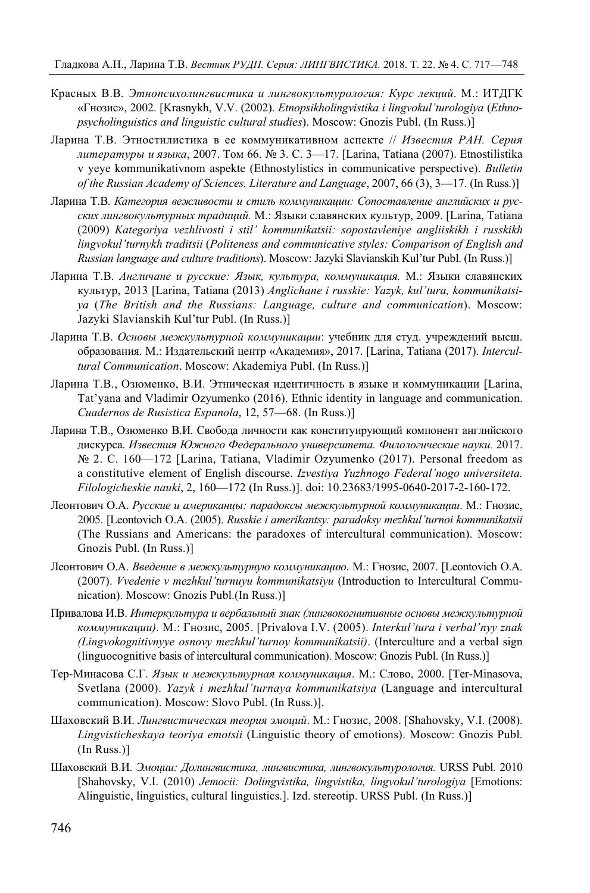- Красных В.В. *Этнопсихолингвистика и лингвокультурология: Курс лекций*. М.: ИТДГК «Гнозис», 2002. [Krasnykh, V.V. (2002). *Etnopsikholingvistika i lingvokul'turologiya* (*Ethnopsycholinguistics and linguistic cultural studies*). Moscow: Gnozis Publ. (In Russ.)]
- Ларина Т.В. Этностилистика в ее коммуникативном аспекте // *Известия РАН. Серия литературы и языка*, 2007. Том 66. № 3. С. 3—17. [Larina, Tatiana (2007). Etnostilistika v yeye kommunikativnom aspekte (Ethnostylistics in communicative perspective). *Bulletin of the Russian Academy of Sciences. Literature and Language*, 2007, 66 (3), 3—17. (In Russ.)]
- Ларина Т.В. *Категория вежливости и стиль коммуникации: Сопоставление английских и русских лингвокультурных традиций.* М.: Языки славянских культур, 2009. [Larina, Tatiana (2009) *Kategoriya vezhlivosti i stil' kommunikatsii: sopostavleniye angliiskikh i russkikh lingvokul'turnykh traditsii* (*Politeness and communicative styles: Comparison of English and Russian language and culture traditions*). Moscow: Jazyki Slavianskih Kul'tur Publ. (In Russ.)]
- Ларина Т.В. *Англичане и русские: Язык, культура, коммуникация.* М.: Языки славянских культур, 2013 [Larina, Tatiana (2013) *Anglichane i russkie: Yazyk, kul'tura, kommunikatsiya* (*The British and the Russians: Language, culture and communication*). Moscow: Jazyki Slavianskih Kul'tur Publ. (In Russ.)]
- Ларина Т.В. *Основы межкультурной коммуникации*: учебник для студ. учреждений высш. образования. М.: Издательский центр «Академия», 2017. [Larina, Tatiana (2017). *Intercultural Communication*. Moscow: Akademiya Publ. (In Russ.)]
- Ларина Т.В., Озюменко, В.И. Этническая идентичность в языке и коммуникации [Larina, Tat'yana and Vladimir Ozyumenko (2016). Ethnic identity in language and communication. *Cuadernos de Rusistica Espanola*, 12, 57—68. (In Russ.)]
- Ларина Т.В., Озюменко В.И. Свобода личности как конституирующий компонент английского дискурса. *Известия Южного Федерального университета. Филологические науки.* 2017. № 2. C. 160—172 [Larina, Tatiana, Vladimir Ozyumenko (2017). Personal freedom as a constitutive element of English discourse. *Izvestiya Yuzhnogo Federal'nogo universiteta. Filologicheskie nauki*, 2, 160—172 (In Russ.)]. doi: 10.23683/1995-0640-2017-2-160-172.
- Леонтович О.А. *Русские и американцы: парадоксы межкультурной коммуникации*. М.: Гнозис, 2005. [Leontovich O.A. (2005). *Russkie i amerikantsy: paradoksy mezhkul'turnoi kommunikatsii*  (The Russians and Americans: the paradoxes of intercultural communication). Moscow: Gnozis Publ. (In Russ.)]
- Леонтович О.А. *Введение в межкультурную коммуникацию*. М.: Гнозис, 2007. [Leontovich O.A. (2007). *Vvedenie v mezhkul'turnuyu kommunikatsiyu* (Introduction to Intercultural Communication). Moscow: Gnozis Publ.(In Russ.)]
- Привалова И.В. *Интеркультура и вербальный знак (лингвокогнитивные основы межкультурной коммуникации).* М.: Гнозис, 2005. [Privalova I.V. (2005). *Interkul'tura i verbal'nyy znak (Lingvokognitivnyye osnovy mezhkul'turnoy kommunikatsii)*. (Interculture and a verbal sign (linguocognitive basis of intercultural communication). Moscow: Gnozis Publ. (In Russ.)]
- Тер-Минасова С.Г. *Язык и межкультурная коммуникация*. М.: Слово, 2000. [Ter-Minasova, Svetlana (2000). *Yazyk i mezhkul'turnaya kommunikatsiya* (Language and intercultural communication). Moscow: Slovo Publ. (In Russ.)].
- Шаховский В.И. *Лингвистическая теория эмоций*. М.: Гнозис, 2008. [Shahovsky, V.I. (2008). *Lingvisticheskaya teoriya emotsii* (Linguistic theory of emotions). Moscow: Gnozis Publ. (In Russ.)]
- Шаховский В.И. *Эмоции: Долингвистика, лингвистика, лингвокультурология.* URSS Publ. 2010 [Shahovsky, V.I. (2010) *Jemocii: Dolingvistika, lingvistika, lingvokul'turologiya* [Emotions: Alinguistic, linguistics, cultural linguistics.]. Izd. stereotip. URSS Publ. (In Russ.)]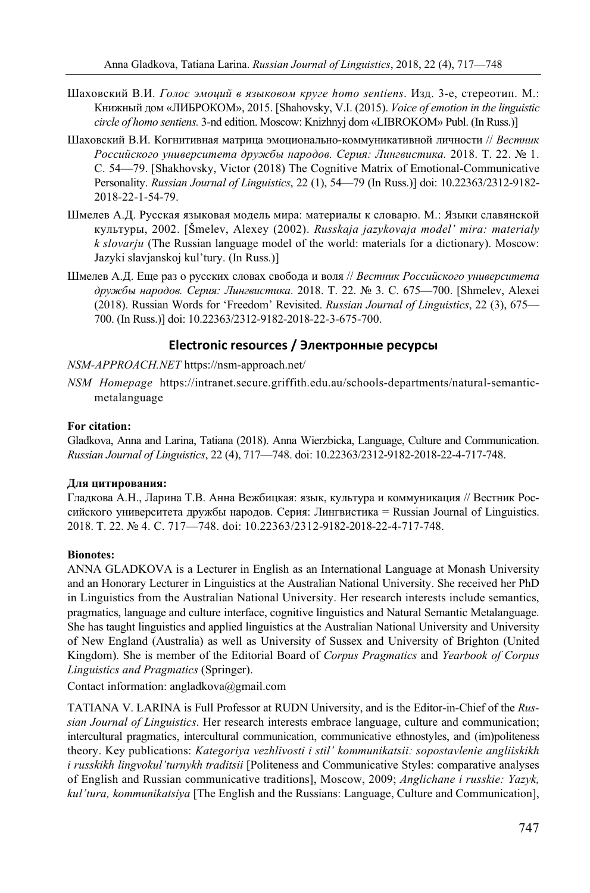- Шаховский В.И. *Голос эмоций в языковом круге homo sentiens*. Изд. 3-е, стереотип. М.: Книжный дом «ЛИБРОКОМ», 2015. [Shahovsky, V.I. (2015). *Voice of emotion in the linguistic circle of homo sentiens.* 3-nd edition. Moscow: Knizhnyj dom «LIBROKOM» Publ. (In Russ.)]
- Шаховский В.И. Когнитивная матрица эмоционально-коммуникативной личности // *Вестник Российского университета дружбы народов. Серия: Лингвистика.* 2018. Т. 22. № 1. С. 54—79. [Shakhovsky, Victor (2018) The Cognitive Matrix of Emotional-Communicative Personality. *Russian Journal of Linguistics*, 22 (1), 54—79 (In Russ.)] doi: 10.22363/2312-9182- 2018-22-1-54-79.
- Шмелев А.Д. Русская языковая модель мира: материалы к словарю. М.: Языки славянской культуры, 2002. [Šmelev, Alexey (2002). *Russkaja jazykovaja model' mira: materialy k slovarju* (The Russian language model of the world: materials for a dictionary). Moscow: Jazyki slavjanskoj kul'tury. (In Russ.)]
- Шмелев А.Д. Еще раз о русских словах свобода и воля // *Вестник Российского университета дружбы народов. Серия: Лингвистика*. 2018. Т. 22. № 3. С. 675—700. [Shmelev, Alexei (2018). Russian Words for 'Freedom' Revisited. *Russian Journal of Linguistics*, 22 (3), 675— 700. (In Russ.)] doi: 10.22363/2312-9182-2018-22-3-675-700.

# **Electronic resources / Электронные ресурсы**

#### *NSM-APPROACH.NET* https://nsm-approach.net/

*NSM Homepage* https://intranet.secure.griffith.edu.au/schools-departments/natural-semanticmetalanguage

#### **For citation:**

Gladkova, Anna and Larina, Tatiana (2018). Anna Wierzbicka, Language, Culture and Communication. *Russian Journal of Linguistics*, 22 (4), 717—748. doi: 10.22363/2312-9182-2018-22-4-717-748.

#### **Для цитирования:**

Гладкова А.Н., Ларина Т.В. Анна Вежбицкая: язык, культура и коммуникация // Вестник Российского университета дружбы народов. Серия: Лингвистика = Russian Journal of Linguistics. 2018. Т. 22. № 4. С. 717—748. doi: 10.22363/2312-9182-2018-22-4-717-748.

#### **Bionotes:**

ANNA GLADKOVA is a Lecturer in English as an International Language at Monash University and an Honorary Lecturer in Linguistics at the Australian National University. She received her PhD in Linguistics from the Australian National University. Her research interests include semantics, pragmatics, language and culture interface, cognitive linguistics and Natural Semantic Metalanguage. She has taught linguistics and applied linguistics at the Australian National University and University of New England (Australia) as well as University of Sussex and University of Brighton (United Kingdom). She is member of the Editorial Board of *Corpus Pragmatics* and *Yearbook of Corpus Linguistics and Pragmatics* (Springer).

Contact information: angladkova@gmail.com

TATIANA V. LARINA is Full Professor at RUDN University, and is the Editor-in-Chief of the *Russian Journal of Linguistics*. Her research interests embrace language, culture and communication; intercultural pragmatics, intercultural communication, communicative ethnostyles, and (im)politeness theory. Key publications: *Kategoriya vezhlivosti i stil' kommunikatsii: sopostavlenie angliiskikh i russkikh lingvokul'turnykh traditsii* [Politeness and Communicative Styles: comparative analyses of English and Russian communicative traditions], Moscow, 2009; *Anglichane i russkie: Yazyk, kul'tura, kommunikatsiya* [The English and the Russians: Language, Culture and Communication],